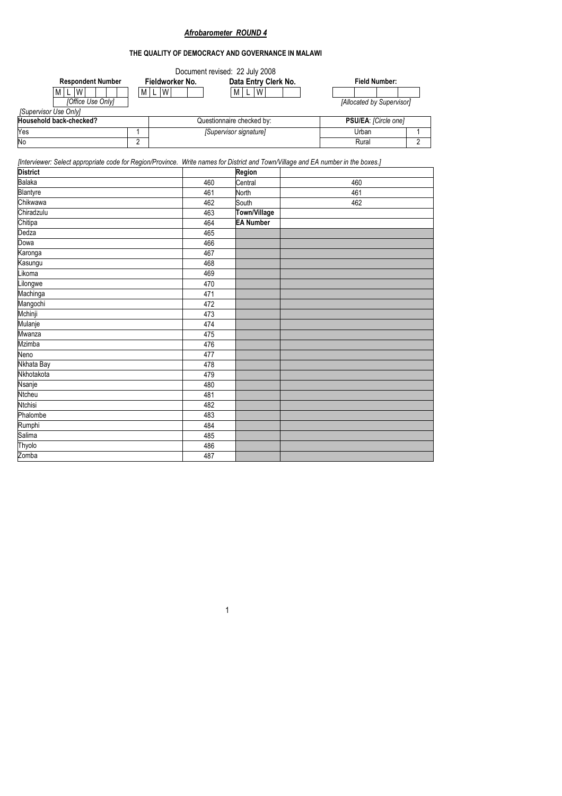# *Afrobarometer ROUND 4*

## **THE QUALITY OF DEMOCRACY AND GOVERNANCE IN MALAWI**

|                          |                 | Document revised: 22 July 2008 |                           |  |
|--------------------------|-----------------|--------------------------------|---------------------------|--|
| <b>Respondent Number</b> | Fieldworker No. | Data Entry Clerk No.           | <b>Field Number:</b>      |  |
| М<br>W                   | ML W            | W<br>±M⊥                       |                           |  |
| [Office Use Only]        |                 |                                | [Allocated by Supervisor] |  |
| [Supervisor Use Only]    |                 |                                |                           |  |
| Household back-checked?  |                 | Questionnaire checked by:      | PSU/EA: [Circle one]      |  |
| Yes                      |                 | [Supervisor signature]         | Urban                     |  |
| No                       |                 |                                | Rural                     |  |

*[Interviewer: Select appropriate code for Region/Province. Write names for District and Town/Village and EA number in the boxes.]* 

| <b>District</b> |     | Region           |     |
|-----------------|-----|------------------|-----|
| Balaka          | 460 | Central          | 460 |
| Blantyre        | 461 | North            | 461 |
| Chikwawa        | 462 | South            | 462 |
| Chiradzulu      | 463 | Town/Village     |     |
| Chitipa         | 464 | <b>EA Number</b> |     |
| Dedza           | 465 |                  |     |
| Dowa            | 466 |                  |     |
| Karonga         | 467 |                  |     |
| Kasungu         | 468 |                  |     |
| Likoma          | 469 |                  |     |
| Lilongwe        | 470 |                  |     |
| Machinga        | 471 |                  |     |
| Mangochi        | 472 |                  |     |
| Mchinji         | 473 |                  |     |
| Mulanje         | 474 |                  |     |
| Mwanza          | 475 |                  |     |
| <b>Mzimba</b>   | 476 |                  |     |
| Neno            | 477 |                  |     |
| Nkhata Bay      | 478 |                  |     |
| Nkhotakota      | 479 |                  |     |
| Nsanje          | 480 |                  |     |
| Ntcheu          | 481 |                  |     |
| <b>Ntchisi</b>  | 482 |                  |     |
| Phalombe        | 483 |                  |     |
| Rumphi          | 484 |                  |     |
| Salima          | 485 |                  |     |
| Thyolo          | 486 |                  |     |
| Zomba           | 487 |                  |     |
|                 |     |                  |     |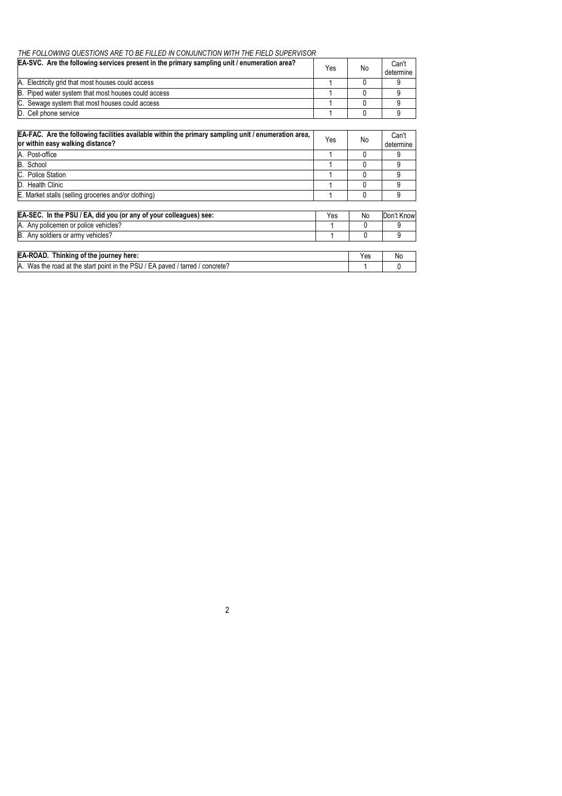#### *THE FOLLOWING QUESTIONS ARE TO BE FILLED IN CONJUNCTION WITH THE FIELD SUPERVISOR*

| EA-SVC. Are the following services present in the primary sampling unit / enumeration area? | Yes | No | Can't<br>determine |
|---------------------------------------------------------------------------------------------|-----|----|--------------------|
| A. Electricity grid that most houses could access                                           |     |    |                    |
| B. Piped water system that most houses could access                                         |     |    |                    |
| C. Sewage system that most houses could access                                              |     |    |                    |
| D. Cell phone service                                                                       |     |    |                    |

| EA-FAC. Are the following facilities available within the primary sampling unit / enumeration area,<br>or within easy walking distance? | Yes | No  | Can't<br>determine |
|-----------------------------------------------------------------------------------------------------------------------------------------|-----|-----|--------------------|
| A. Post-office                                                                                                                          |     | 0   | 9                  |
| B. School                                                                                                                               |     |     | 9                  |
| C. Police Station                                                                                                                       |     |     | 9                  |
| D. Health Clinic                                                                                                                        |     | 0   | 9                  |
| E. Market stalls (selling groceries and/or clothing)                                                                                    |     | 0   | 9                  |
| EA-SEC. In the PSU / EA, did you (or any of your colleagues) see:                                                                       | Yes | No  | Don't Know         |
| A. Any policemen or police vehicles?                                                                                                    |     | 0   | 9                  |
| B. Any soldiers or army vehicles?                                                                                                       |     | 0   | 9                  |
|                                                                                                                                         |     |     |                    |
| <b>EA-ROAD.</b> Thinking of the journey here:                                                                                           |     | Yes | No                 |
| A. Was the road at the start point in the PSU / EA paved / tarred / concrete?                                                           |     |     |                    |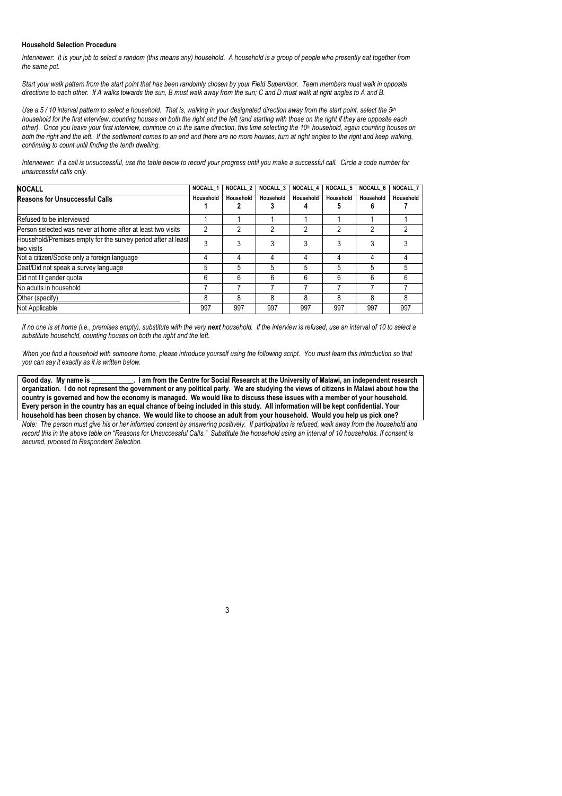#### **Household Selection Procedure**

*Interviewer: It is your job to select a random (this means any) household. A household is a group of people who presently eat together from the same pot.* 

*Start your walk pattern from the start point that has been randomly chosen by your Field Supervisor. Team members must walk in opposite directions to each other. If A walks towards the sun, B must walk away from the sun; C and D must walk at right angles to A and B.* 

*Use a 5 / 10 interval pattern to select a household. That is, walking in your designated direction away from the start point, select the 5th household for the first interview, counting houses on both the right and the left (and starting with those on the right if they are opposite each other). Once you leave your first interview, continue on in the same direction, this time selecting the 10th household, again counting houses on both the right and the left. If the settlement comes to an end and there are no more houses, turn at right angles to the right and keep walking, continuing to count until finding the tenth dwelling.* 

*Interviewer: If a call is unsuccessful, use the table below to record your progress until you make a successful call. Circle a code number for unsuccessful calls only.* 

| <b>NOCALL</b>                                                               | NOCALL 1  | NOCALL <sub>2</sub> | <b>NOCALL 3</b> | <b>NOCALL 4</b> | <b>NOCALL 5</b> | <b>NOCALL 6</b> | NOCALL 7  |
|-----------------------------------------------------------------------------|-----------|---------------------|-----------------|-----------------|-----------------|-----------------|-----------|
| <b>Reasons for Unsuccessful Calls</b>                                       | Household | Household           | Household       | Household       | Household       | Household       | Household |
| Refused to be interviewed                                                   |           |                     |                 |                 |                 |                 |           |
| Person selected was never at home after at least two visits                 |           |                     |                 |                 | ŋ               | ŋ               |           |
| Household/Premises empty for the survey period after at least<br>two visits | າ         |                     |                 |                 |                 |                 |           |
| Not a citizen/Spoke only a foreign language                                 |           |                     | 4               | 4               | 4               | 4               |           |
| Deaf/Did not speak a survey language                                        | 5         |                     | 5               | 5               | 5               | 5               |           |
| Did not fit gender quota                                                    | հ         | հ                   | 6               | 6               | 6               | 6               | հ         |
| No adults in household                                                      |           |                     |                 |                 |                 |                 |           |
| Other (specify)                                                             | ጸ         | ጸ                   | ጸ               | ጸ               | 8               | 8               | 8         |
| Not Applicable                                                              | 997       | 997                 | 997             | 997             | 997             | 997             | 997       |

*If no one is at home (i.e., premises empty), substitute with the very next household. If the interview is refused, use an interval of 10 to select a substitute household, counting houses on both the right and the left.* 

*When you find a household with someone home, please introduce yourself using the following script. You must learn this introduction so that you can say it exactly as it is written below.* 

**Good day. My name is \_\_\_\_\_\_\_\_\_\_\_\_. I am from the Centre for Social Research at the University of Malawi, an independent research organization. I do not represent the government or any political party. We are studying the views of citizens in Malawi about how the country is governed and how the economy is managed. We would like to discuss these issues with a member of your household. Every person in the country has an equal chance of being included in this study. All information will be kept confidential. Your household has been chosen by chance. We would like to choose an adult from your household. Would you help us pick one?** *Note: The person must give his or her informed consent by answering positively. If participation is refused, walk away from the household and* 

*record this in the above table on "Reasons for Unsuccessful Calls." Substitute the household using an interval of 10 households. If consent is secured, proceed to Respondent Selection.*

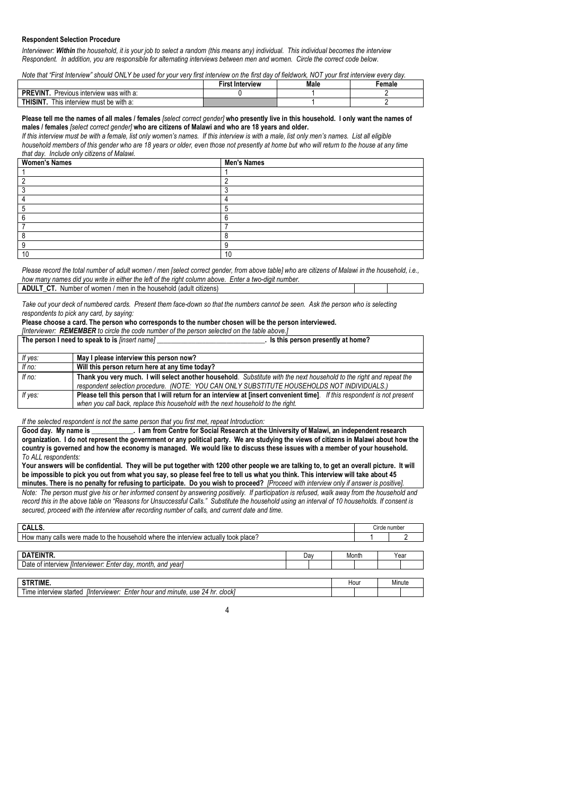#### **Respondent Selection Procedure**

*Interviewer: Within the household, it is your job to select a random (this means any) individual. This individual becomes the interview Respondent. In addition, you are responsible for alternating interviews between men and women. Circle the correct code below.* 

*Note that "First Interview" should ONLY be used for your very first interview on the first day of fieldwork, NOT your first interview every day.*

|                                            | <b>First Interview</b> | Male | ∃emale |
|--------------------------------------------|------------------------|------|--------|
| PREVINT.<br>Previous interview was with a: |                        |      |        |
| THISINT.<br>This interview must be with a: |                        |      |        |
|                                            |                        |      |        |

#### **Please tell me the names of all males / females** *[select correct gender]* **who presently live in this household. I only want the names of males / females** *[select correct gender]* **who are citizens of Malawi and who are 18 years and older.**

*If this interview must be with a female, list only women's names. If this interview is with a male, list only men's names. List all eligible household members of this gender who are 18 years or older, even those not presently at home but who will return to the house at any time that day. Include only citizens of Malawi.* 

| <b>Women's Names</b> | <b>Men's Names</b> |
|----------------------|--------------------|
|                      |                    |
|                      | c                  |
|                      | ◠                  |
|                      |                    |
|                      | $\blacksquare$     |
|                      |                    |
|                      |                    |
|                      | C                  |
|                      |                    |
|                      | 10                 |

*Please record the total number of adult women / men [select correct gender, from above table] who are citizens of Malawi in the household, i.e., how many names did you write in either the left of the right column above. Enter a two-digit number.* 

|  | <b>ADULT CT.</b> Number of women / men in the household (adult citizens) |  |  |  |
|--|--------------------------------------------------------------------------|--|--|--|
|--|--------------------------------------------------------------------------|--|--|--|

*Take out your deck of numbered cards. Present them face-down so that the numbers cannot be seen. Ask the person who is selecting respondents to pick any card, by saying:* 

#### **Please choose a card. The person who corresponds to the number chosen will be the person interviewed.**

*[Interviewer: REMEMBER to circle the code number of the person selected on the table above.]* 

|  | The person I need to speak to is [insert name] |  |  |  |
|--|------------------------------------------------|--|--|--|
|--|------------------------------------------------|--|--|--|

| If yes:                      | May I please interview this person now?                                                                                    |
|------------------------------|----------------------------------------------------------------------------------------------------------------------------|
| If no:                       | Will this person return here at any time today?                                                                            |
| $\overline{f}$ <i>If no:</i> | Thank you very much. I will select another household. Substitute with the next household to the right and repeat the       |
|                              | respondent selection procedure. (NOTE: YOU CAN ONLY SUBSTITUTE HOUSEHOLDS NOT INDIVIDUALS.)                                |
| If yes:                      | Please tell this person that I will return for an interview at finsert convenient time]. If this respondent is not present |
|                              | when you call back, replace this household with the next household to the right.                                           |

**Is this person presently at home?** 

*If the selected respondent is not the same person that you first met, repeat Introduction:* 

**Good day. My name is \_\_\_\_\_\_\_\_\_\_\_\_. I am from Centre for Social Research at the University of Malawi, an independent research organization. I do not represent the government or any political party. We are studying the views of citizens in Malawi about how the country is governed and how the economy is managed. We would like to discuss these issues with a member of your household.**  *To ALL respondents:* 

**Your answers will be confidential. They will be put together with 1200 other people we are talking to, to get an overall picture. It will be impossible to pick you out from what you say, so please feel free to tell us what you think. This interview will take about 45 minutes. There is no penalty for refusing to participate. Do you wish to proceed?** *[Proceed with interview only if answer is positive].* 

*Note: The person must give his or her informed consent by answering positively. If participation is refused, walk away from the household and record this in the above table on "Reasons for Unsuccessful Calls." Substitute the household using an interval of 10 households. If consent is secured, proceed with the interview after recording number of calls, and current date and time.*

| CALLS.                                                                               |       | Circle number |        |
|--------------------------------------------------------------------------------------|-------|---------------|--------|
| How many calls were made to the household where the interview actually took place?   |       |               |        |
|                                                                                      |       |               |        |
| DATEINTR.<br>Dav                                                                     | Month |               | Year   |
| Date of interview <i>[Interviewer: Enter day, month, and year]</i>                   |       |               |        |
|                                                                                      |       |               |        |
| <b>STRTIME.</b>                                                                      | Hour  |               | Minute |
| Time interview started <i>[Interviewer: Enter hour and minute, use 24 hr. clock]</i> |       |               |        |

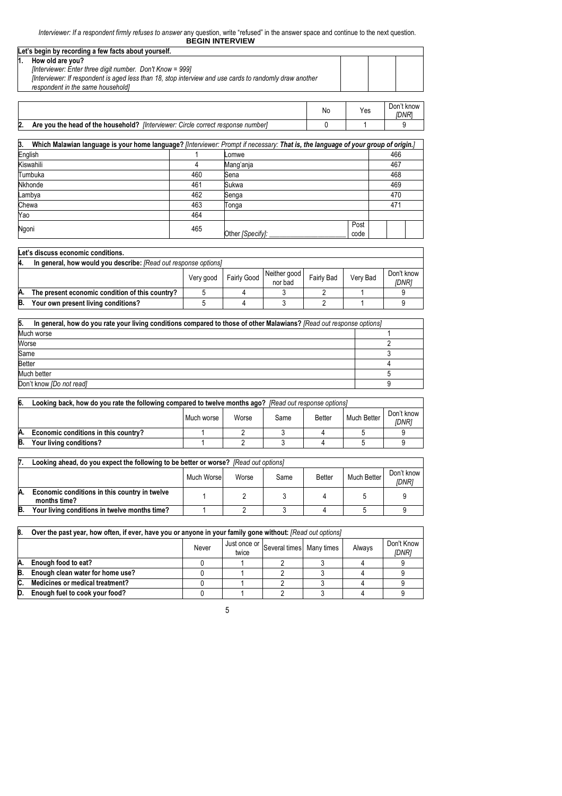| Let's begin by recording a few facts about yourself.                                                   |  |  |
|--------------------------------------------------------------------------------------------------------|--|--|
| How old are you?                                                                                       |  |  |
| [Interviewer: Enter three digit number. Don't Know = 999]                                              |  |  |
| Interviewer: If respondent is aged less than 18, stop interview and use cards to randomly draw another |  |  |
| respondent in the same householdl                                                                      |  |  |
|                                                                                                        |  |  |

|    |                                                                                  | No | Yes | Don't know<br>IDNR |
|----|----------------------------------------------------------------------------------|----|-----|--------------------|
| 2. | Are you the head of the household? [Interviewer: Circle correct response number] |    |     |                    |

| $\overline{\mathbf{3}}$<br>Which Malawian language is your home language? [Interviewer: Prompt if necessary: That is, the language of your group of origin.] |     |                  |              |  |     |  |  |
|--------------------------------------------------------------------------------------------------------------------------------------------------------------|-----|------------------|--------------|--|-----|--|--|
| English                                                                                                                                                      |     | Lomwe            |              |  | 466 |  |  |
| Kiswahili                                                                                                                                                    | 4   | Mang'anja        |              |  | 467 |  |  |
| Tumbuka                                                                                                                                                      | 460 | Sena             |              |  | 468 |  |  |
| Nkhonde                                                                                                                                                      | 461 | Sukwa            |              |  | 469 |  |  |
| Lambya                                                                                                                                                       | 462 | Senga            |              |  | 470 |  |  |
| Chewa                                                                                                                                                        | 463 | Tonga            |              |  | 471 |  |  |
| Yao                                                                                                                                                          | 464 |                  |              |  |     |  |  |
| Ngoni                                                                                                                                                        | 465 | Other [Specify]: | Post<br>code |  |     |  |  |

|                                                                                                                    | Let's discuss economic conditions.                              |  |  |  |  |  |  |  |  |  |
|--------------------------------------------------------------------------------------------------------------------|-----------------------------------------------------------------|--|--|--|--|--|--|--|--|--|
| 4.                                                                                                                 | In general, how would you describe: [Read out response options] |  |  |  |  |  |  |  |  |  |
| Neither good<br>Don't know<br>Fairly Good<br>Verv Bad<br><b>Fairly Bad</b><br>Very good<br><b>IDNR1</b><br>nor bad |                                                                 |  |  |  |  |  |  |  |  |  |
| А.                                                                                                                 | The present economic condition of this country?                 |  |  |  |  |  |  |  |  |  |
| B.                                                                                                                 | Your own present living conditions?                             |  |  |  |  |  |  |  |  |  |

| 5.<br>In general, how do you rate your living conditions compared to those of other Malawians? [Read out response options] |  |  |  |
|----------------------------------------------------------------------------------------------------------------------------|--|--|--|
| Much worse                                                                                                                 |  |  |  |
| Worse                                                                                                                      |  |  |  |
| Same                                                                                                                       |  |  |  |
| <b>Better</b>                                                                                                              |  |  |  |
| Much better                                                                                                                |  |  |  |
| Don't know [Do not read]                                                                                                   |  |  |  |

| 6.                  | Looking back, how do you rate the following compared to twelve months ago? [Read out response options] |  |  |      |               |             |                     |  |  |  |
|---------------------|--------------------------------------------------------------------------------------------------------|--|--|------|---------------|-------------|---------------------|--|--|--|
| Worse<br>Much worse |                                                                                                        |  |  | Same | <b>Better</b> | Much Better | Don't know<br>'DNRi |  |  |  |
| Α.                  | Economic conditions in this country?                                                                   |  |  |      |               |             |                     |  |  |  |
| B.                  | Your living conditions?                                                                                |  |  |      |               |             |                     |  |  |  |

|    | Looking ahead, do you expect the following to be better or worse? [Read out options] |            |       |      |               |             |                     |  |  |
|----|--------------------------------------------------------------------------------------|------------|-------|------|---------------|-------------|---------------------|--|--|
|    |                                                                                      | Much Worse | Worse | Same | <b>Better</b> | Much Better | Don't know<br>IDNR1 |  |  |
| A. | Economic conditions in this country in twelve<br>months time?                        |            |       |      |               |             |                     |  |  |
| B. | Your living conditions in twelve months time?                                        |            |       |      |               |             |                     |  |  |

| 18. | Over the past year, how often, if ever, have you or anyone in your family gone without: [Read out options] |       |       |                                       |  |        |                     |  |  |  |
|-----|------------------------------------------------------------------------------------------------------------|-------|-------|---------------------------------------|--|--------|---------------------|--|--|--|
|     |                                                                                                            | Never | twice | Just once or Several times Many times |  | Always | Don't Know<br>[DNR] |  |  |  |
| Α.  | Enough food to eat?                                                                                        |       |       |                                       |  |        |                     |  |  |  |
| B.  | Enough clean water for home use?                                                                           |       |       |                                       |  |        |                     |  |  |  |
| IC. | Medicines or medical treatment?                                                                            |       |       |                                       |  |        |                     |  |  |  |
| D.  | Enough fuel to cook your food?                                                                             |       |       |                                       |  |        |                     |  |  |  |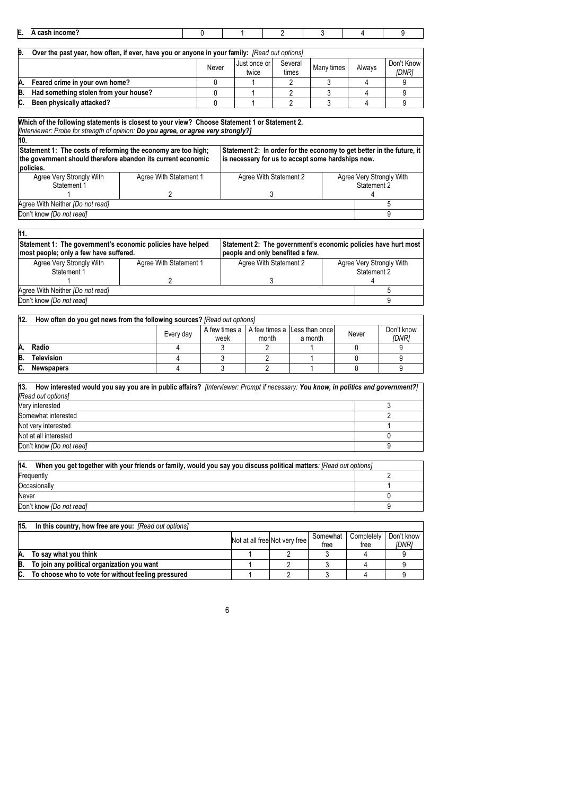| E. | A cash income?                                                                                |       |                           |                  |            |        |                            |
|----|-----------------------------------------------------------------------------------------------|-------|---------------------------|------------------|------------|--------|----------------------------|
|    |                                                                                               |       |                           |                  |            |        |                            |
| 9. | Over the past year, how often, if ever, have you or anyone in your family: [Read out options] |       |                           |                  |            |        |                            |
|    |                                                                                               | Never | I Just once or I<br>twice | Several<br>times | Many times | Always | Don't Know<br><b>IDNR1</b> |
| A. | Feared crime in your own home?                                                                |       |                           |                  |            |        |                            |
| B. | Had something stolen from your house?                                                         |       |                           |                  |            |        |                            |
| C. | Been physically attacked?                                                                     |       |                           |                  |            |        |                            |

| [Interviewer: Probe for strength of opinion: Do you agree, or agree very strongly?]<br>10.                                                 |                        |                                                                                                                            |                                         |
|--------------------------------------------------------------------------------------------------------------------------------------------|------------------------|----------------------------------------------------------------------------------------------------------------------------|-----------------------------------------|
| Statement 1: The costs of reforming the economy are too high;<br>the government should therefore abandon its current economic<br>policies. |                        | Statement 2: In order for the economy to get better in the future, it<br>is necessary for us to accept some hardships now. |                                         |
| Agree Very Strongly With<br>Statement 1                                                                                                    | Agree With Statement 1 | Agree With Statement 2                                                                                                     | Agree Very Strongly With<br>Statement 2 |
|                                                                                                                                            |                        |                                                                                                                            |                                         |
| Agree With Neither [Do not read]                                                                                                           |                        |                                                                                                                            |                                         |
| Don't know [Do not read]                                                                                                                   |                        |                                                                                                                            | 9                                       |

| I11.                                                                                                  |                        |                                                                                                    |                                         |
|-------------------------------------------------------------------------------------------------------|------------------------|----------------------------------------------------------------------------------------------------|-----------------------------------------|
| Statement 1: The government's economic policies have helped<br>most people; only a few have suffered. |                        | Statement 2: The government's economic policies have hurt most<br>people and only benefited a few. |                                         |
| Agree Very Strongly With<br>Statement 1                                                               | Agree With Statement 1 | Agree With Statement 2                                                                             | Agree Very Strongly With<br>Statement 2 |
|                                                                                                       |                        |                                                                                                    |                                         |
| Agree With Neither [Do not read]                                                                      |                        |                                                                                                    |                                         |
| Don't know <i>[Do not read]</i>                                                                       |                        |                                                                                                    |                                         |

| 12. | How often do you get news from the following sources? [Read out options] |                                          |       |                            |  |  |  |  |  |  |
|-----|--------------------------------------------------------------------------|------------------------------------------|-------|----------------------------|--|--|--|--|--|--|
|     |                                                                          | A few times a ILess than once<br>a month | Never | Don't know<br><i>IDNR1</i> |  |  |  |  |  |  |
| Α.  | Radio                                                                    |                                          |       |                            |  |  |  |  |  |  |
| B.  | <b>Television</b>                                                        |                                          |       |                            |  |  |  |  |  |  |
| IC. | <b>Newspapers</b>                                                        |                                          |       |                            |  |  |  |  |  |  |

| 13. How interested would you say you are in public affairs? [Interviewer: Prompt if necessary: You know, in politics and government?] |  |
|---------------------------------------------------------------------------------------------------------------------------------------|--|
| [Read out options]                                                                                                                    |  |
| Very interested                                                                                                                       |  |
| Somewhat interested                                                                                                                   |  |
| Not very interested                                                                                                                   |  |
| Not at all interested                                                                                                                 |  |
| Don't know <i>[Do not read]</i>                                                                                                       |  |

| 14.<br>When you get together with your friends or family, would you say you discuss political matters: [Read out options] |  |  |  |  |  |
|---------------------------------------------------------------------------------------------------------------------------|--|--|--|--|--|
| Frequently                                                                                                                |  |  |  |  |  |
| Occasionally                                                                                                              |  |  |  |  |  |
| Never                                                                                                                     |  |  |  |  |  |
| Don't know <i>[Do not read]</i>                                                                                           |  |  |  |  |  |

# **15. In this country, how free are you:** *[Read out options]*

|    |                                                     | Not at all free Not very free | Somewhat<br>tree | Completely<br>tree | Don't know<br>IDNR1 |
|----|-----------------------------------------------------|-------------------------------|------------------|--------------------|---------------------|
| Α. | To say what you think                               |                               |                  |                    |                     |
| B. | To join any political organization you want         |                               |                  |                    |                     |
|    | To choose who to vote for without feeling pressured |                               |                  |                    |                     |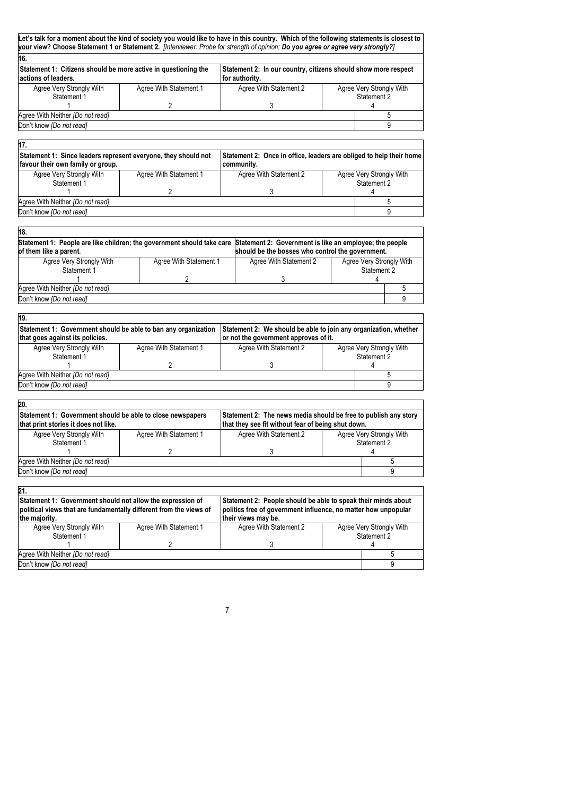| 16.                                                                                                                                                                                                                                                                                                                                                                                                                                                                                                                                                        |                        |                                                                                                             |                                         |                                         |
|------------------------------------------------------------------------------------------------------------------------------------------------------------------------------------------------------------------------------------------------------------------------------------------------------------------------------------------------------------------------------------------------------------------------------------------------------------------------------------------------------------------------------------------------------------|------------------------|-------------------------------------------------------------------------------------------------------------|-----------------------------------------|-----------------------------------------|
| Statement 1: Citizens should be more active in questioning the                                                                                                                                                                                                                                                                                                                                                                                                                                                                                             |                        | Statement 2: In our country, citizens should show more respect                                              |                                         |                                         |
| actions of leaders.                                                                                                                                                                                                                                                                                                                                                                                                                                                                                                                                        |                        | for authority.                                                                                              |                                         |                                         |
| Agree Very Strongly With                                                                                                                                                                                                                                                                                                                                                                                                                                                                                                                                   | Agree With Statement 1 | Agree With Statement 2                                                                                      |                                         | Agree Very Strongly With                |
| Statement 1                                                                                                                                                                                                                                                                                                                                                                                                                                                                                                                                                |                        |                                                                                                             |                                         | Statement 2                             |
|                                                                                                                                                                                                                                                                                                                                                                                                                                                                                                                                                            | $\overline{2}$         | 3                                                                                                           |                                         | 4                                       |
| Agree With Neither [Do not read]                                                                                                                                                                                                                                                                                                                                                                                                                                                                                                                           |                        |                                                                                                             |                                         | 5                                       |
| Don't know [Do not read]                                                                                                                                                                                                                                                                                                                                                                                                                                                                                                                                   |                        |                                                                                                             |                                         | 9                                       |
| 17.                                                                                                                                                                                                                                                                                                                                                                                                                                                                                                                                                        |                        |                                                                                                             |                                         |                                         |
| Statement 1: Since leaders represent everyone, they should not                                                                                                                                                                                                                                                                                                                                                                                                                                                                                             |                        | Statement 2: Once in office, leaders are obliged to help their home                                         |                                         |                                         |
| favour their own family or group.                                                                                                                                                                                                                                                                                                                                                                                                                                                                                                                          |                        | community.                                                                                                  |                                         |                                         |
| Agree Very Strongly With                                                                                                                                                                                                                                                                                                                                                                                                                                                                                                                                   | Agree With Statement 1 | Agree With Statement 2                                                                                      |                                         | Agree Very Strongly With                |
| Statement 1                                                                                                                                                                                                                                                                                                                                                                                                                                                                                                                                                |                        |                                                                                                             |                                         | Statement 2                             |
| 1                                                                                                                                                                                                                                                                                                                                                                                                                                                                                                                                                          | 2                      | 3                                                                                                           |                                         | 4                                       |
| Agree With Neither [Do not read]                                                                                                                                                                                                                                                                                                                                                                                                                                                                                                                           |                        |                                                                                                             |                                         | 5                                       |
| Don't know [Do not read]                                                                                                                                                                                                                                                                                                                                                                                                                                                                                                                                   |                        |                                                                                                             |                                         | g                                       |
|                                                                                                                                                                                                                                                                                                                                                                                                                                                                                                                                                            |                        |                                                                                                             |                                         |                                         |
| 18.                                                                                                                                                                                                                                                                                                                                                                                                                                                                                                                                                        |                        |                                                                                                             |                                         |                                         |
| Statement 1: People are like children; the government should take care<br>of them like a parent.                                                                                                                                                                                                                                                                                                                                                                                                                                                           |                        | Statement 2: Government is like an employee; the people<br>should be the bosses who control the government. |                                         |                                         |
| Agree Very Strongly With<br>Statement 1                                                                                                                                                                                                                                                                                                                                                                                                                                                                                                                    | Agree With Statement 1 | Agree With Statement 2                                                                                      | Agree Very Strongly With<br>Statement 2 |                                         |
| 1                                                                                                                                                                                                                                                                                                                                                                                                                                                                                                                                                          | $\overline{2}$         | 3                                                                                                           |                                         | 4                                       |
| Agree With Neither [Do not read]                                                                                                                                                                                                                                                                                                                                                                                                                                                                                                                           |                        |                                                                                                             |                                         | 5                                       |
| Don't know [Do not read]                                                                                                                                                                                                                                                                                                                                                                                                                                                                                                                                   |                        |                                                                                                             |                                         | 9                                       |
|                                                                                                                                                                                                                                                                                                                                                                                                                                                                                                                                                            |                        |                                                                                                             |                                         |                                         |
|                                                                                                                                                                                                                                                                                                                                                                                                                                                                                                                                                            |                        |                                                                                                             |                                         |                                         |
|                                                                                                                                                                                                                                                                                                                                                                                                                                                                                                                                                            |                        |                                                                                                             |                                         |                                         |
|                                                                                                                                                                                                                                                                                                                                                                                                                                                                                                                                                            |                        | Statement 2: We should be able to join any organization, whether                                            |                                         |                                         |
|                                                                                                                                                                                                                                                                                                                                                                                                                                                                                                                                                            |                        | or not the government approves of it.                                                                       |                                         |                                         |
| Agree Very Strongly With<br>Statement 1                                                                                                                                                                                                                                                                                                                                                                                                                                                                                                                    | Agree With Statement 1 | Agree With Statement 2                                                                                      |                                         | Agree Very Strongly With<br>Statement 2 |
|                                                                                                                                                                                                                                                                                                                                                                                                                                                                                                                                                            | $\overline{2}$         | 3                                                                                                           |                                         | 4                                       |
|                                                                                                                                                                                                                                                                                                                                                                                                                                                                                                                                                            |                        |                                                                                                             |                                         | 5                                       |
|                                                                                                                                                                                                                                                                                                                                                                                                                                                                                                                                                            |                        |                                                                                                             |                                         | 9                                       |
|                                                                                                                                                                                                                                                                                                                                                                                                                                                                                                                                                            |                        |                                                                                                             |                                         |                                         |
|                                                                                                                                                                                                                                                                                                                                                                                                                                                                                                                                                            |                        |                                                                                                             |                                         |                                         |
|                                                                                                                                                                                                                                                                                                                                                                                                                                                                                                                                                            |                        | Statement 2: The news media should be free to publish any story                                             |                                         |                                         |
|                                                                                                                                                                                                                                                                                                                                                                                                                                                                                                                                                            |                        | that they see fit without fear of being shut down.                                                          |                                         |                                         |
| Agree Very Strongly With                                                                                                                                                                                                                                                                                                                                                                                                                                                                                                                                   | Agree With Statement 1 | Agree With Statement 2                                                                                      |                                         | Agree Very Strongly With                |
| Statement 1                                                                                                                                                                                                                                                                                                                                                                                                                                                                                                                                                |                        |                                                                                                             |                                         | Statement 2<br>4                        |
|                                                                                                                                                                                                                                                                                                                                                                                                                                                                                                                                                            |                        | $\mathbf{3}$                                                                                                |                                         | 5                                       |
|                                                                                                                                                                                                                                                                                                                                                                                                                                                                                                                                                            |                        |                                                                                                             |                                         | 9                                       |
|                                                                                                                                                                                                                                                                                                                                                                                                                                                                                                                                                            |                        |                                                                                                             |                                         |                                         |
|                                                                                                                                                                                                                                                                                                                                                                                                                                                                                                                                                            |                        |                                                                                                             |                                         |                                         |
|                                                                                                                                                                                                                                                                                                                                                                                                                                                                                                                                                            |                        | Statement 2: People should be able to speak their minds about                                               |                                         |                                         |
|                                                                                                                                                                                                                                                                                                                                                                                                                                                                                                                                                            |                        | politics free of government influence, no matter how unpopular                                              |                                         |                                         |
|                                                                                                                                                                                                                                                                                                                                                                                                                                                                                                                                                            |                        | their views may be.                                                                                         |                                         |                                         |
| Agree Very Strongly With                                                                                                                                                                                                                                                                                                                                                                                                                                                                                                                                   | Agree With Statement 1 | Agree With Statement 2                                                                                      |                                         | Agree Very Strongly With                |
| Statement 1                                                                                                                                                                                                                                                                                                                                                                                                                                                                                                                                                |                        |                                                                                                             |                                         | Statement 2                             |
| 19.<br>Statement 1: Government should be able to ban any organization<br>that goes against its policies.<br>Agree With Neither [Do not read]<br>Don't know [Do not read]<br>20.<br>Statement 1: Government should be able to close newspapers<br>that print stories it does not like.<br>Agree With Neither [Do not read]<br>Don't know [Do not read]<br>21.<br>Statement 1: Government should not allow the expression of<br>political views that are fundamentally different from the views of<br>the majority.<br>1<br>Agree With Neither [Do not read] | 2                      | 3                                                                                                           |                                         | 4<br>5                                  |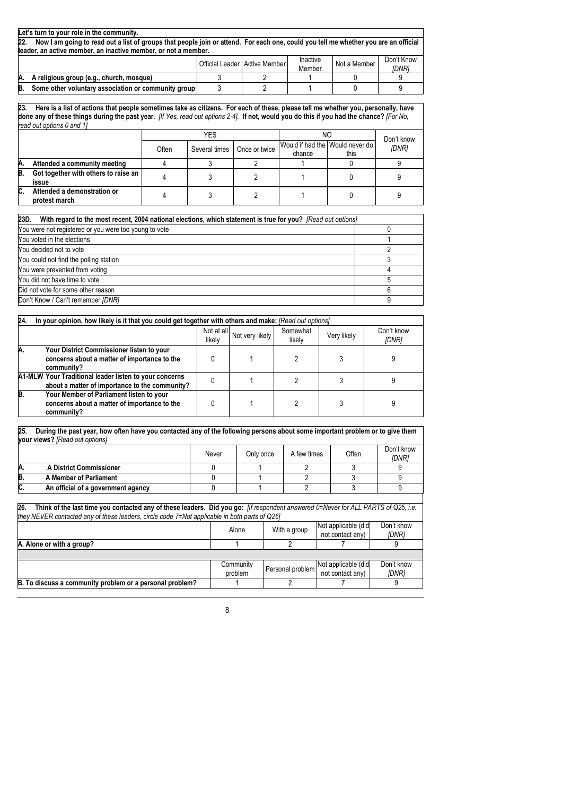|     | Let's turn to your role in the community.                                                                                           |  |                                 |                    |              |                            |  |  |
|-----|-------------------------------------------------------------------------------------------------------------------------------------|--|---------------------------------|--------------------|--------------|----------------------------|--|--|
| 22. | Now I am going to read out a list of groups that people join or attend. For each one, could you tell me whether you are an official |  |                                 |                    |              |                            |  |  |
|     | leader, an active member, an inactive member, or not a member.                                                                      |  |                                 |                    |              |                            |  |  |
|     |                                                                                                                                     |  | Official Leader   Active Member | Inactive<br>Member | Not a Member | Don't Know<br><i>IDNR1</i> |  |  |
| Α.  | A religious group (e.g., church, mosque)                                                                                            |  |                                 |                    |              |                            |  |  |
| B.  | Some other voluntary association or community group                                                                                 |  |                                 |                    |              |                            |  |  |

**23. Here is a list of actions that people sometimes take as citizens. For each of these, please tell me whether you, personally, have done any of these things during the past year.** *[If Yes, read out options 2-4].* **If not, would you do this if you had the chance?** *[For No, read out options 0 and 1]* 

|    |                                               |       | <b>YES</b>    |               | ΝO                                        | Don't know |       |  |  |
|----|-----------------------------------------------|-------|---------------|---------------|-------------------------------------------|------------|-------|--|--|
|    |                                               | Often | Several times | Once or twice | Would if had the Would never do<br>chance | this       | [DNR] |  |  |
| Α. | Attended a community meeting                  |       |               |               |                                           |            |       |  |  |
| В. | Got together with others to raise an<br>issue |       |               |               |                                           |            |       |  |  |
| C. | Attended a demonstration or<br>protest march  |       |               |               |                                           |            |       |  |  |

| 23D.<br>With regard to the most recent, 2004 national elections, which statement is true for you? [Read out options] |  |
|----------------------------------------------------------------------------------------------------------------------|--|
| You were not registered or you were too young to vote                                                                |  |
| You voted in the elections                                                                                           |  |
| You decided not to vote                                                                                              |  |
| You could not find the polling station                                                                               |  |
| You were prevented from voting                                                                                       |  |
| You did not have time to vote                                                                                        |  |
| Did not vote for some other reason                                                                                   |  |
| Don't Know / Can't remember [DNR]                                                                                    |  |

| 24. | In your opinion, how likely is it that you could get together with others and make: [Read out options]   |                      |                 |                    |             |                     |  |
|-----|----------------------------------------------------------------------------------------------------------|----------------------|-----------------|--------------------|-------------|---------------------|--|
|     |                                                                                                          | Not at all<br>likely | Not very likely | Somewhat<br>likely | Very likely | Don't know<br>[DNR] |  |
| Α.  | Your District Commissioner listen to your<br>concerns about a matter of importance to the<br>community?  |                      |                 |                    |             |                     |  |
|     | A1-MLW Your Traditional leader listen to your concerns<br>about a matter of importance to the community? |                      |                 |                    |             |                     |  |
| B.  | Your Member of Parliament listen to your<br>concerns about a matter of importance to the<br>community?   |                      |                 |                    |             |                     |  |

| <b>your views?</b> [Read out options] |                                    |       |           |             |       |                            |  |
|---------------------------------------|------------------------------------|-------|-----------|-------------|-------|----------------------------|--|
|                                       |                                    | Never | Only once | A few times | Often | Don't know<br><b>IDNR1</b> |  |
| Α.                                    | <b>A District Commissioner</b>     |       |           |             |       |                            |  |
| B.                                    | A Member of Parliament             |       |           |             |       |                            |  |
| C.                                    | An official of a government agency |       |           |             |       |                            |  |

| IZD.<br>THING OF THE RISE THIS YOU CONTACTED ANY OF THESE READERS. DID YOU GO. THE SOUNDERN ANSWERED V-MEVER TO ALL PART IS OF Q20, I.E. |           |  |                                      |            |  |  |  |  |
|------------------------------------------------------------------------------------------------------------------------------------------|-----------|--|--------------------------------------|------------|--|--|--|--|
| they NEVER contacted any of these leaders, circle code 7=Not applicable in both parts of Q261                                            |           |  |                                      |            |  |  |  |  |
| Not applicable (did<br>Don't know<br>With a group<br>Alone<br>not contact any)<br>[DNR]                                                  |           |  |                                      |            |  |  |  |  |
| A. Alone or with a group?                                                                                                                |           |  |                                      |            |  |  |  |  |
|                                                                                                                                          |           |  |                                      |            |  |  |  |  |
|                                                                                                                                          | Community |  | Personal problem Not applicable (did | Don't know |  |  |  |  |
|                                                                                                                                          | problem   |  | not contact any)                     | [DNR]      |  |  |  |  |
| B. To discuss a community problem or a personal problem?                                                                                 |           |  |                                      |            |  |  |  |  |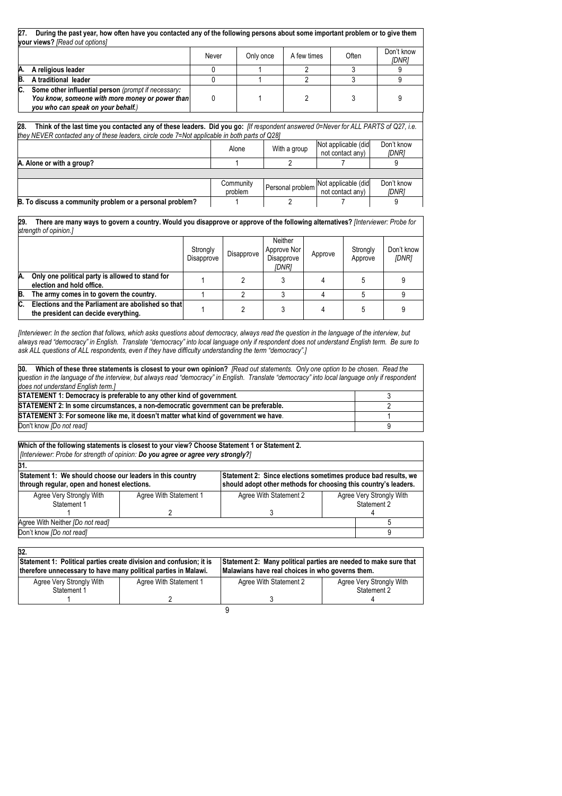| During the past year, how often have you contacted any of the following persons about some important problem or to give them<br>27.<br>vour views? [Read out options]                                                                     |              |           |                  |                                         |                     |
|-------------------------------------------------------------------------------------------------------------------------------------------------------------------------------------------------------------------------------------------|--------------|-----------|------------------|-----------------------------------------|---------------------|
|                                                                                                                                                                                                                                           | Never        | Only once | A few times      | Often                                   | Don't know<br>[DNR] |
| A religious leader<br>Α.                                                                                                                                                                                                                  | 0            |           | 2                | 3                                       |                     |
| B.<br>A traditional leader                                                                                                                                                                                                                | $\mathbf{0}$ |           | 2                | 3                                       | 9                   |
| C.<br>Some other influential person (prompt if necessary:<br>You know, someone with more money or power than<br>you who can speak on your behalf.)                                                                                        | 0            |           | 2                | 3                                       | 9                   |
| Think of the last time you contacted any of these leaders. Did you go: [If respondent answered 0=Never for ALL PARTS of Q27, i.e.<br>28.<br>they NEVER contacted any of these leaders, circle code 7=Not applicable in both parts of Q28] |              |           |                  |                                         |                     |
|                                                                                                                                                                                                                                           |              | Alone     | With a group     | Not applicable (did<br>not contact any) | Don't know<br>[DNR] |
| A. Alone or with a group?                                                                                                                                                                                                                 |              |           |                  |                                         | 9                   |
|                                                                                                                                                                                                                                           |              |           |                  |                                         |                     |
|                                                                                                                                                                                                                                           |              | Community | Personal problem | Not applicable (did                     | Don't know          |
|                                                                                                                                                                                                                                           |              | problem   |                  | not contact any)                        | [DNR]               |
| B. To discuss a community problem or a personal problem?                                                                                                                                                                                  |              |           |                  |                                         | 9                   |

**29. There are many ways to govern a country. Would you disapprove or approve of the following alternatives?** *[Interviewer: Probe for strength of opinion.]*

|    |                                                                                            | Strongly<br>Disapprove | Disapprove | Neither<br>Approve Nor<br>Disapprove<br>IDNR1 | Approve | Strongly<br>Approve | Don't know<br>[DNR] |
|----|--------------------------------------------------------------------------------------------|------------------------|------------|-----------------------------------------------|---------|---------------------|---------------------|
| Α. | Only one political party is allowed to stand for<br>election and hold office.              |                        |            |                                               |         |                     |                     |
| B. | The army comes in to govern the country.                                                   |                        |            |                                               |         |                     |                     |
| C. | Elections and the Parliament are abolished so that<br>the president can decide everything. |                        |            |                                               |         |                     |                     |

*[Interviewer: In the section that follows, which asks questions about democracy, always read the question in the language of the interview, but always read "democracy" in English. Translate "democracy" into local language only if respondent does not understand English term. Be sure to ask ALL questions of ALL respondents, even if they have difficulty understanding the term "democracy".]* 

| 30. Which of these three statements is closest to your own opinion? [Read out statements. Only one option to be chosen. Read the                |  |  |  |  |
|-------------------------------------------------------------------------------------------------------------------------------------------------|--|--|--|--|
| question in the language of the interview, but always read "democracy" in English. Translate "democracy" into local language only if respondent |  |  |  |  |
| does not understand English term.]                                                                                                              |  |  |  |  |
| STATEMENT 1: Democracy is preferable to any other kind of government.                                                                           |  |  |  |  |
| STATEMENT 2: In some circumstances, a non-democratic government can be preferable.                                                              |  |  |  |  |
| STATEMENT 3: For someone like me, it doesn't matter what kind of government we have.                                                            |  |  |  |  |
| Don't know <i>[Do not read]</i>                                                                                                                 |  |  |  |  |

**Which of the following statements is closest to your view? Choose Statement 1 or Statement 2.**  *[Interviewer: Probe for strength of opinion: Do you agree or agree very strongly?]*

| 31.                                                                                                      |                        |                                                                                                                                   |  |                                         |  |  |
|----------------------------------------------------------------------------------------------------------|------------------------|-----------------------------------------------------------------------------------------------------------------------------------|--|-----------------------------------------|--|--|
| Statement 1: We should choose our leaders in this country<br>through regular, open and honest elections. |                        | Statement 2: Since elections sometimes produce bad results, we<br>should adopt other methods for choosing this country's leaders. |  |                                         |  |  |
| Agree Very Strongly With<br>Statement 1                                                                  | Agree With Statement 1 | Agree With Statement 2                                                                                                            |  | Agree Very Strongly With<br>Statement 2 |  |  |
|                                                                                                          |                        |                                                                                                                                   |  |                                         |  |  |
| Agree With Neither [Do not read]                                                                         |                        |                                                                                                                                   |  |                                         |  |  |
| Don't know <i>[Do not read]</i>                                                                          |                        |                                                                                                                                   |  |                                         |  |  |

| 32.                                                                                                                                    |                        |                                                                                                                      |                                         |  |  |
|----------------------------------------------------------------------------------------------------------------------------------------|------------------------|----------------------------------------------------------------------------------------------------------------------|-----------------------------------------|--|--|
| Statement 1: Political parties create division and confusion; it is<br>therefore unnecessary to have many political parties in Malawi. |                        | Statement 2: Many political parties are needed to make sure that<br>Malawians have real choices in who governs them. |                                         |  |  |
| Agree Very Strongly With<br>Statement 1                                                                                                | Agree With Statement 1 | Agree With Statement 2                                                                                               | Agree Very Strongly With<br>Statement 2 |  |  |
|                                                                                                                                        |                        |                                                                                                                      |                                         |  |  |
|                                                                                                                                        |                        |                                                                                                                      |                                         |  |  |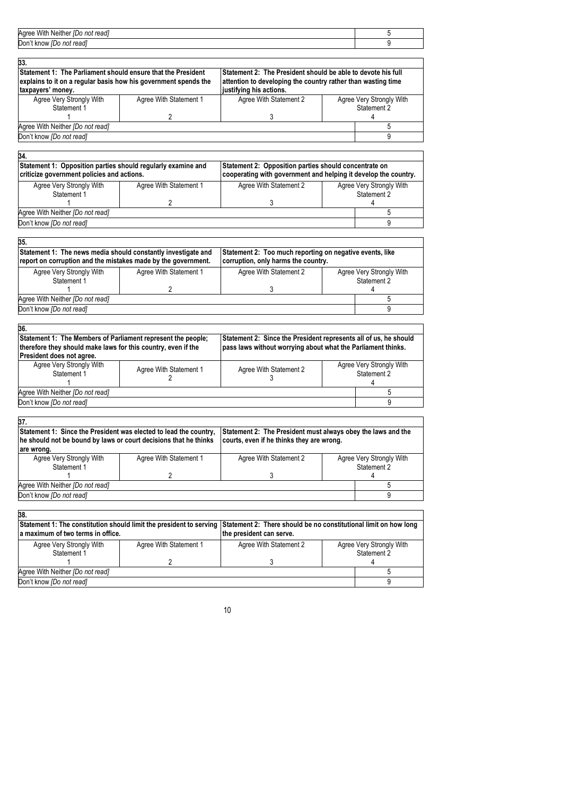| Don't know<br>not readl<br>IDO. |  |
|---------------------------------|--|

| 33.                                                                                                                             |                        |                                                                                                                              |                                         |  |  |
|---------------------------------------------------------------------------------------------------------------------------------|------------------------|------------------------------------------------------------------------------------------------------------------------------|-----------------------------------------|--|--|
| Statement 1: The Parliament should ensure that the President<br>explains to it on a regular basis how his government spends the |                        | Statement 2: The President should be able to devote his full<br>attention to developing the country rather than wasting time |                                         |  |  |
| taxpayers' money.                                                                                                               |                        | justifying his actions.                                                                                                      |                                         |  |  |
| Agree Very Strongly With<br>Statement 1                                                                                         | Agree With Statement 1 | Agree With Statement 2                                                                                                       | Agree Very Strongly With<br>Statement 2 |  |  |
|                                                                                                                                 |                        |                                                                                                                              |                                         |  |  |
| Agree With Neither [Do not read]                                                                                                |                        |                                                                                                                              |                                         |  |  |
| Don't know <i>[Do not read]</i>                                                                                                 |                        |                                                                                                                              |                                         |  |  |

| 34.<br>Statement 1: Opposition parties should regularly examine and<br>Statement 2: Opposition parties should concentrate on<br>cooperating with government and helping it develop the country.<br>criticize government policies and actions.<br>Agree Very Strongly With<br>Agree Very Strongly With<br>Agree With Statement 2<br>Agree With Statement 1<br>Statement 2<br>Statement 1 |  |  |  |  |  |  |  |  |
|-----------------------------------------------------------------------------------------------------------------------------------------------------------------------------------------------------------------------------------------------------------------------------------------------------------------------------------------------------------------------------------------|--|--|--|--|--|--|--|--|
|                                                                                                                                                                                                                                                                                                                                                                                         |  |  |  |  |  |  |  |  |
|                                                                                                                                                                                                                                                                                                                                                                                         |  |  |  |  |  |  |  |  |
|                                                                                                                                                                                                                                                                                                                                                                                         |  |  |  |  |  |  |  |  |
|                                                                                                                                                                                                                                                                                                                                                                                         |  |  |  |  |  |  |  |  |
| Agree With Neither <i>[Do not read]</i>                                                                                                                                                                                                                                                                                                                                                 |  |  |  |  |  |  |  |  |
| Don't know <i>[Do not read]</i>                                                                                                                                                                                                                                                                                                                                                         |  |  |  |  |  |  |  |  |

| 35.                                                                                                                            |                        |                                                                                                 |             |                          |  |  |
|--------------------------------------------------------------------------------------------------------------------------------|------------------------|-------------------------------------------------------------------------------------------------|-------------|--------------------------|--|--|
| Statement 1: The news media should constantly investigate and<br>report on corruption and the mistakes made by the government. |                        | Statement 2: Too much reporting on negative events, like<br>corruption, only harms the country. |             |                          |  |  |
| Agree Very Strongly With                                                                                                       | Agree With Statement 1 | Agree With Statement 2                                                                          |             | Agree Very Strongly With |  |  |
| Statement 1                                                                                                                    |                        |                                                                                                 | Statement 2 |                          |  |  |
|                                                                                                                                |                        |                                                                                                 |             |                          |  |  |
| Agree With Neither [Do not read]                                                                                               |                        |                                                                                                 |             |                          |  |  |
| Don't know [Do not read]                                                                                                       |                        |                                                                                                 |             |                          |  |  |

| Statement 1: The Members of Parliament represent the people;<br>therefore they should make laws for this country, even if the |                        | Statement 2: Since the President represents all of us, he should<br>pass laws without worrying about what the Parliament thinks. |                                         |  |  |
|-------------------------------------------------------------------------------------------------------------------------------|------------------------|----------------------------------------------------------------------------------------------------------------------------------|-----------------------------------------|--|--|
|                                                                                                                               |                        |                                                                                                                                  |                                         |  |  |
| Agree With Statement 1                                                                                                        | Agree With Statement 2 |                                                                                                                                  | Agree Very Strongly With<br>Statement 2 |  |  |
|                                                                                                                               |                        |                                                                                                                                  |                                         |  |  |
|                                                                                                                               |                        |                                                                                                                                  |                                         |  |  |
|                                                                                                                               |                        |                                                                                                                                  |                                         |  |  |

| Statement 1: Since the President was elected to lead the country,<br>he should not be bound by laws or court decisions that he thinks<br>lare wrong. |                        | Statement 2: The President must always obey the laws and the<br>courts, even if he thinks they are wrong. |             |                          |  |
|------------------------------------------------------------------------------------------------------------------------------------------------------|------------------------|-----------------------------------------------------------------------------------------------------------|-------------|--------------------------|--|
|                                                                                                                                                      |                        |                                                                                                           |             |                          |  |
| Agree Very Strongly With                                                                                                                             | Agree With Statement 1 | Agree With Statement 2                                                                                    |             | Agree Very Strongly With |  |
| Statement 1                                                                                                                                          |                        |                                                                                                           | Statement 2 |                          |  |
|                                                                                                                                                      |                        |                                                                                                           |             |                          |  |
| Agree With Neither [Do not read]                                                                                                                     |                        |                                                                                                           |             |                          |  |
| Don't know <i>[Do not read]</i>                                                                                                                      |                        |                                                                                                           |             |                          |  |

| 38.                                                                                                                                                                       |                        |                          |                                         |  |
|---------------------------------------------------------------------------------------------------------------------------------------------------------------------------|------------------------|--------------------------|-----------------------------------------|--|
| Statement 1: The constitution should limit the president to serving Statement 2: There should be no constitutional limit on how long<br>a maximum of two terms in office. |                        | the president can serve. |                                         |  |
| Agree Very Strongly With<br>Statement 1                                                                                                                                   | Agree With Statement 1 | Agree With Statement 2   | Agree Very Strongly With<br>Statement 2 |  |
|                                                                                                                                                                           |                        |                          |                                         |  |
| Agree With Neither [Do not read]                                                                                                                                          |                        |                          |                                         |  |
| Don't know [Do not read]                                                                                                                                                  |                        |                          |                                         |  |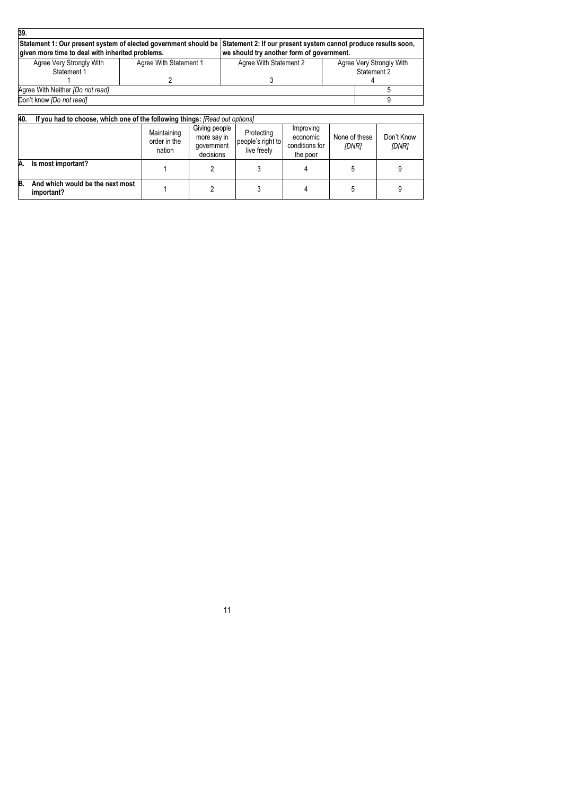| 39.                                                                                                                                                                                 |                        |                                           |  |                                         |  |
|-------------------------------------------------------------------------------------------------------------------------------------------------------------------------------------|------------------------|-------------------------------------------|--|-----------------------------------------|--|
| Statement 1: Our present system of elected government should be Statement 2: If our present system cannot produce results soon,<br>given more time to deal with inherited problems. |                        | we should try another form of government. |  |                                         |  |
| Agree Very Strongly With<br>Statement 1                                                                                                                                             | Agree With Statement 1 | Agree With Statement 2                    |  | Agree Very Strongly With<br>Statement 2 |  |
|                                                                                                                                                                                     |                        |                                           |  |                                         |  |
| Agree With Neither [Do not read]                                                                                                                                                    |                        |                                           |  |                                         |  |
| Don't know [Do not read]                                                                                                                                                            |                        |                                           |  |                                         |  |

| 40. | If you had to choose, which one of the following things: [Read out options] |                                       |                                                         |                                                |                                                     |                        |                     |
|-----|-----------------------------------------------------------------------------|---------------------------------------|---------------------------------------------------------|------------------------------------------------|-----------------------------------------------------|------------------------|---------------------|
|     |                                                                             | Maintaining<br>order in the<br>nation | Giving people<br>more say in<br>government<br>decisions | Protecting<br>people's right to<br>live freely | Improving<br>economic<br>conditions for<br>the poor | None of these<br>[DNR] | Don't Know<br>[DNR] |
| A.  | Is most important?                                                          |                                       |                                                         |                                                |                                                     |                        |                     |
| B.  | And which would be the next most<br>important?                              |                                       |                                                         |                                                |                                                     |                        |                     |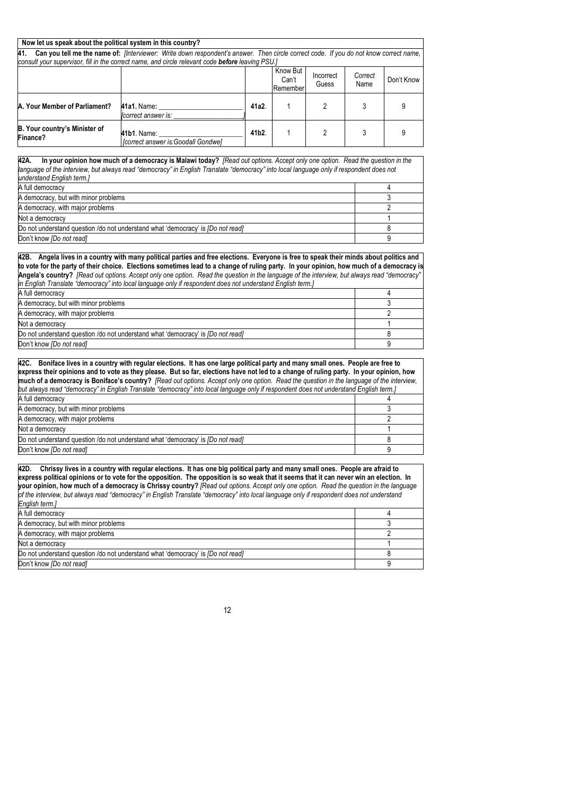| Now let us speak about the political system in this country?                                                                                                                                                                                                                                                                                                                                                                                                                                                                                                        |                                                                                                                                                                                                                                                                                                                                                                                                                                                                                                                                                               |                  |                   |           |         |                |
|---------------------------------------------------------------------------------------------------------------------------------------------------------------------------------------------------------------------------------------------------------------------------------------------------------------------------------------------------------------------------------------------------------------------------------------------------------------------------------------------------------------------------------------------------------------------|---------------------------------------------------------------------------------------------------------------------------------------------------------------------------------------------------------------------------------------------------------------------------------------------------------------------------------------------------------------------------------------------------------------------------------------------------------------------------------------------------------------------------------------------------------------|------------------|-------------------|-----------|---------|----------------|
| 41.                                                                                                                                                                                                                                                                                                                                                                                                                                                                                                                                                                 | Can you tell me the name of: [Interviewer: Write down respondent's answer. Then circle correct code. If you do not know correct name,                                                                                                                                                                                                                                                                                                                                                                                                                         |                  |                   |           |         |                |
|                                                                                                                                                                                                                                                                                                                                                                                                                                                                                                                                                                     | consult your supervisor, fill in the correct name, and circle relevant code <b>before</b> leaving PSU.]                                                                                                                                                                                                                                                                                                                                                                                                                                                       |                  |                   |           |         |                |
|                                                                                                                                                                                                                                                                                                                                                                                                                                                                                                                                                                     |                                                                                                                                                                                                                                                                                                                                                                                                                                                                                                                                                               |                  | Know But          | Incorrect | Correct |                |
|                                                                                                                                                                                                                                                                                                                                                                                                                                                                                                                                                                     |                                                                                                                                                                                                                                                                                                                                                                                                                                                                                                                                                               |                  | Can't<br>Remember | Guess     | Name    | Don't Know     |
|                                                                                                                                                                                                                                                                                                                                                                                                                                                                                                                                                                     |                                                                                                                                                                                                                                                                                                                                                                                                                                                                                                                                                               |                  |                   |           |         |                |
| A. Your Member of Parliament?                                                                                                                                                                                                                                                                                                                                                                                                                                                                                                                                       | 41a1. Name:                                                                                                                                                                                                                                                                                                                                                                                                                                                                                                                                                   | 41a2.            | 1                 | 2         | 3       | 9              |
|                                                                                                                                                                                                                                                                                                                                                                                                                                                                                                                                                                     | correct answer is:                                                                                                                                                                                                                                                                                                                                                                                                                                                                                                                                            |                  |                   |           |         |                |
|                                                                                                                                                                                                                                                                                                                                                                                                                                                                                                                                                                     |                                                                                                                                                                                                                                                                                                                                                                                                                                                                                                                                                               |                  |                   |           |         |                |
| B. Your country's Minister of<br>Finance?                                                                                                                                                                                                                                                                                                                                                                                                                                                                                                                           | 41b1. Name:                                                                                                                                                                                                                                                                                                                                                                                                                                                                                                                                                   | 41b <sub>2</sub> | 1                 | 2         | 3       | 9              |
|                                                                                                                                                                                                                                                                                                                                                                                                                                                                                                                                                                     | [correct answer is: Goodall Gondwe]                                                                                                                                                                                                                                                                                                                                                                                                                                                                                                                           |                  |                   |           |         |                |
|                                                                                                                                                                                                                                                                                                                                                                                                                                                                                                                                                                     |                                                                                                                                                                                                                                                                                                                                                                                                                                                                                                                                                               |                  |                   |           |         |                |
| 42A.<br>understand English term.]                                                                                                                                                                                                                                                                                                                                                                                                                                                                                                                                   | In your opinion how much of a democracy is Malawi today? [Read out options. Accept only one option. Read the question in the<br>language of the interview, but always read "democracy" in English Translate "democracy" into local language only if respondent does not                                                                                                                                                                                                                                                                                       |                  |                   |           |         |                |
| A full democracy                                                                                                                                                                                                                                                                                                                                                                                                                                                                                                                                                    |                                                                                                                                                                                                                                                                                                                                                                                                                                                                                                                                                               |                  |                   |           |         | 4              |
| A democracy, but with minor problems                                                                                                                                                                                                                                                                                                                                                                                                                                                                                                                                |                                                                                                                                                                                                                                                                                                                                                                                                                                                                                                                                                               |                  |                   |           |         | 3              |
| A democracy, with major problems                                                                                                                                                                                                                                                                                                                                                                                                                                                                                                                                    |                                                                                                                                                                                                                                                                                                                                                                                                                                                                                                                                                               |                  |                   |           |         | $\overline{2}$ |
| Not a democracy                                                                                                                                                                                                                                                                                                                                                                                                                                                                                                                                                     |                                                                                                                                                                                                                                                                                                                                                                                                                                                                                                                                                               |                  |                   |           |         | 1              |
|                                                                                                                                                                                                                                                                                                                                                                                                                                                                                                                                                                     | Do not understand question /do not understand what 'democracy' is [Do not read]                                                                                                                                                                                                                                                                                                                                                                                                                                                                               |                  |                   |           |         | 8              |
| Don't know [Do not read]                                                                                                                                                                                                                                                                                                                                                                                                                                                                                                                                            |                                                                                                                                                                                                                                                                                                                                                                                                                                                                                                                                                               |                  |                   |           |         | 9              |
|                                                                                                                                                                                                                                                                                                                                                                                                                                                                                                                                                                     |                                                                                                                                                                                                                                                                                                                                                                                                                                                                                                                                                               |                  |                   |           |         |                |
|                                                                                                                                                                                                                                                                                                                                                                                                                                                                                                                                                                     | 42B. Angela lives in a country with many political parties and free elections. Everyone is free to speak their minds about politics and<br>to vote for the party of their choice. Elections sometimes lead to a change of ruling party. In your opinion, how much of a democracy is<br>Angela's country? [Read out options. Accept only one option. Read the question in the language of the interview, but always read "democracy"<br>in English Translate "democracy" into local language only if respondent does not understand English term.]             |                  |                   |           |         |                |
| A full democracy                                                                                                                                                                                                                                                                                                                                                                                                                                                                                                                                                    |                                                                                                                                                                                                                                                                                                                                                                                                                                                                                                                                                               |                  |                   |           |         | 4              |
| A democracy, but with minor problems                                                                                                                                                                                                                                                                                                                                                                                                                                                                                                                                |                                                                                                                                                                                                                                                                                                                                                                                                                                                                                                                                                               |                  |                   |           |         | 3              |
| A democracy, with major problems                                                                                                                                                                                                                                                                                                                                                                                                                                                                                                                                    |                                                                                                                                                                                                                                                                                                                                                                                                                                                                                                                                                               |                  |                   |           |         | 2              |
| Not a democracy                                                                                                                                                                                                                                                                                                                                                                                                                                                                                                                                                     |                                                                                                                                                                                                                                                                                                                                                                                                                                                                                                                                                               |                  |                   |           |         | 1              |
|                                                                                                                                                                                                                                                                                                                                                                                                                                                                                                                                                                     | Do not understand question /do not understand what 'democracy' is [Do not read]                                                                                                                                                                                                                                                                                                                                                                                                                                                                               |                  |                   |           |         | 8              |
| Don't know [Do not read]                                                                                                                                                                                                                                                                                                                                                                                                                                                                                                                                            |                                                                                                                                                                                                                                                                                                                                                                                                                                                                                                                                                               |                  |                   |           |         | 9              |
| 42C. Boniface lives in a country with regular elections. It has one large political party and many small ones. People are free to<br>express their opinions and to vote as they please. But so far, elections have not led to a change of ruling party. In your opinion, how<br>much of a democracy is Boniface's country? [Read out options. Accept only one option. Read the question in the language of the interview,<br>but always read "democracy" in English Translate "democracy" into local language only if respondent does not understand English term.] |                                                                                                                                                                                                                                                                                                                                                                                                                                                                                                                                                               |                  |                   |           |         |                |
| A full democracy<br>A democracy, but with minor problems                                                                                                                                                                                                                                                                                                                                                                                                                                                                                                            |                                                                                                                                                                                                                                                                                                                                                                                                                                                                                                                                                               |                  |                   |           |         | 4<br>3         |
| A democracy, with major problems                                                                                                                                                                                                                                                                                                                                                                                                                                                                                                                                    |                                                                                                                                                                                                                                                                                                                                                                                                                                                                                                                                                               |                  |                   |           |         | 2              |
| Not a democracy                                                                                                                                                                                                                                                                                                                                                                                                                                                                                                                                                     |                                                                                                                                                                                                                                                                                                                                                                                                                                                                                                                                                               |                  |                   |           |         | 1              |
|                                                                                                                                                                                                                                                                                                                                                                                                                                                                                                                                                                     | Do not understand question /do not understand what 'democracy' is [Do not read]                                                                                                                                                                                                                                                                                                                                                                                                                                                                               |                  |                   |           |         | 8              |
| Don't know <i>[Do not read]</i>                                                                                                                                                                                                                                                                                                                                                                                                                                                                                                                                     |                                                                                                                                                                                                                                                                                                                                                                                                                                                                                                                                                               |                  |                   |           |         | 9              |
|                                                                                                                                                                                                                                                                                                                                                                                                                                                                                                                                                                     |                                                                                                                                                                                                                                                                                                                                                                                                                                                                                                                                                               |                  |                   |           |         |                |
| 42D.<br>English term.]                                                                                                                                                                                                                                                                                                                                                                                                                                                                                                                                              | Chrissy lives in a country with regular elections. It has one big political party and many small ones. People are afraid to<br>express political opinions or to vote for the opposition. The opposition is so weak that it seems that it can never win an election. In<br>your opinion, how much of a democracy is Chrissy country? [Read out options. Accept only one option. Read the question in the language<br>of the interview, but always read "democracy" in English Translate "democracy" into local language only if respondent does not understand |                  |                   |           |         |                |
| A full democracy                                                                                                                                                                                                                                                                                                                                                                                                                                                                                                                                                    |                                                                                                                                                                                                                                                                                                                                                                                                                                                                                                                                                               |                  |                   |           |         | 4              |
| A democracy, but with minor problems                                                                                                                                                                                                                                                                                                                                                                                                                                                                                                                                |                                                                                                                                                                                                                                                                                                                                                                                                                                                                                                                                                               |                  |                   |           |         | 3              |
| A democracy, with major problems                                                                                                                                                                                                                                                                                                                                                                                                                                                                                                                                    |                                                                                                                                                                                                                                                                                                                                                                                                                                                                                                                                                               |                  |                   |           |         | 2              |
| Not a democracy                                                                                                                                                                                                                                                                                                                                                                                                                                                                                                                                                     |                                                                                                                                                                                                                                                                                                                                                                                                                                                                                                                                                               |                  |                   |           |         | 1              |
|                                                                                                                                                                                                                                                                                                                                                                                                                                                                                                                                                                     | Do not understand question /do not understand what 'democracy' is [Do not read]                                                                                                                                                                                                                                                                                                                                                                                                                                                                               |                  |                   |           |         | 8              |
| Don't know <i>[Do not read]</i>                                                                                                                                                                                                                                                                                                                                                                                                                                                                                                                                     |                                                                                                                                                                                                                                                                                                                                                                                                                                                                                                                                                               |                  |                   |           |         | 9              |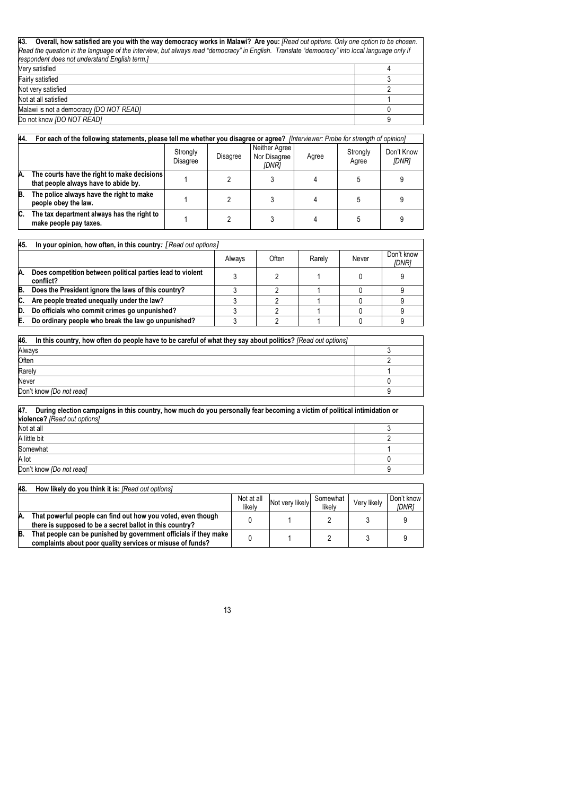| 43. Overall, how satisfied are you with the way democracy works in Malawi? Are you: [Read out options. Only one option to be chosen.          |  |
|-----------------------------------------------------------------------------------------------------------------------------------------------|--|
| Read the question in the language of the interview, but always read "democracy" in English. Translate "democracy" into local language only if |  |
| respondent does not understand English term.]                                                                                                 |  |
| Very satisfied                                                                                                                                |  |
| Fairly satisfied                                                                                                                              |  |
| Not very satisfied                                                                                                                            |  |
| Not at all satisfied                                                                                                                          |  |
| Malawi is not a democracy (DO NOT READ)                                                                                                       |  |
| Do not know (DO NOT READ)                                                                                                                     |  |

| 44. | For each of the following statements, please tell me whether you disagree or agree? [Interviewer: Probe for strength of opinion] |  |  |  |  |  |  |
|-----|----------------------------------------------------------------------------------------------------------------------------------|--|--|--|--|--|--|
|     | Neither Agree<br>Strongly<br>Strongly<br>Nor Disagree<br>Disagree<br>Agree<br>Disagree<br>Agree<br>[DNR]                         |  |  |  |  |  |  |
| A.  | The courts have the right to make decisions<br>that people always have to abide by.                                              |  |  |  |  |  |  |
| B.  | The police always have the right to make<br>people obey the law.                                                                 |  |  |  |  |  |  |
| C.  | The tax department always has the right to<br>make people pay taxes.                                                             |  |  |  |  |  |  |

| 45. | In your opinion, how often, in this country: [Read out options]         |        |       |        |       |                     |  |  |
|-----|-------------------------------------------------------------------------|--------|-------|--------|-------|---------------------|--|--|
|     |                                                                         | Always | Often | Rarely | Never | Don't know<br>[DNR] |  |  |
| Α.  | Does competition between political parties lead to violent<br>conflict? |        |       |        |       |                     |  |  |
| B.  | Does the President ignore the laws of this country?                     |        |       |        |       |                     |  |  |
| C.  | Are people treated unequally under the law?                             |        |       |        |       |                     |  |  |
| D.  | Do officials who commit crimes go unpunished?                           |        |       |        |       |                     |  |  |
| E.  | Do ordinary people who break the law go unpunished?                     |        |       |        |       |                     |  |  |

| 46.<br>In this country, how often do people have to be careful of what they say about politics? [Read out options] |  |
|--------------------------------------------------------------------------------------------------------------------|--|
| Always                                                                                                             |  |
| Often                                                                                                              |  |
| Rarely                                                                                                             |  |
| Never                                                                                                              |  |
| Don't know <i>[Do not read]</i>                                                                                    |  |

| 47.<br>During election campaigns in this country, how much do you personally fear becoming a victim of political intimidation or |  |  |  |  |  |  |
|----------------------------------------------------------------------------------------------------------------------------------|--|--|--|--|--|--|
| violence? [Read out options]                                                                                                     |  |  |  |  |  |  |
| Not at all                                                                                                                       |  |  |  |  |  |  |
| A little bit                                                                                                                     |  |  |  |  |  |  |
| Somewhat                                                                                                                         |  |  |  |  |  |  |
| A lot                                                                                                                            |  |  |  |  |  |  |
| Don't know [Do not read]                                                                                                         |  |  |  |  |  |  |

| 48. | How likely do you think it is: [Read out options]                                                                              |                      |                 |                    |             |                            |
|-----|--------------------------------------------------------------------------------------------------------------------------------|----------------------|-----------------|--------------------|-------------|----------------------------|
|     |                                                                                                                                | Not at all<br>likely | Not very likely | Somewhat<br>likelv | Verv likelv | Don't know<br><b>IDNR1</b> |
| IA. | That powerful people can find out how you voted, even though<br>there is supposed to be a secret ballot in this country?       |                      |                 |                    |             |                            |
| B.  | That people can be punished by government officials if they make<br>complaints about poor quality services or misuse of funds? |                      |                 |                    |             |                            |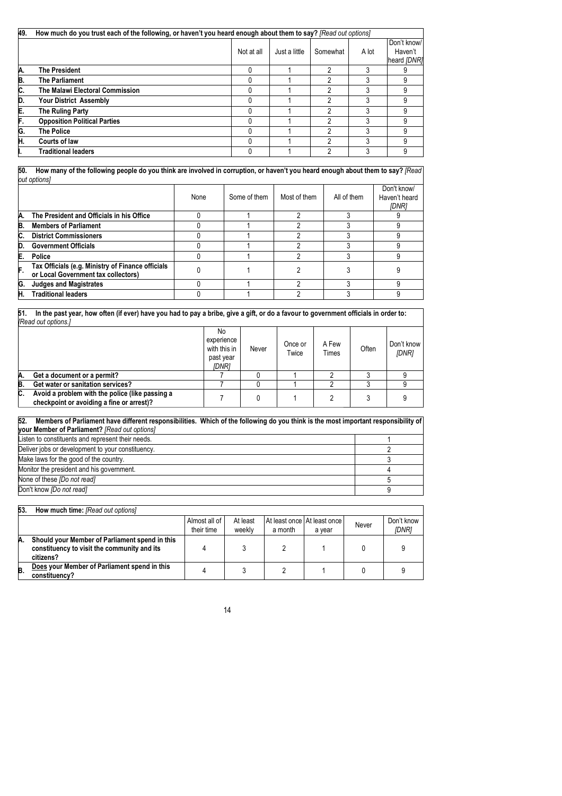| 49. | How much do you trust each of the following, or haven't you heard enough about them to say? [Read out options] |            |               |          |       |                                       |  |  |  |
|-----|----------------------------------------------------------------------------------------------------------------|------------|---------------|----------|-------|---------------------------------------|--|--|--|
|     |                                                                                                                | Not at all | Just a little | Somewhat | A lot | Don't know/<br>Haven't<br>heard [DNR] |  |  |  |
| Α.  | <b>The President</b>                                                                                           |            |               | 2        |       |                                       |  |  |  |
| B.  | <b>The Parliament</b>                                                                                          |            |               | っ        |       | 9                                     |  |  |  |
| C.  | The Malawi Electoral Commission                                                                                |            |               | 2        |       | 9                                     |  |  |  |
| D.  | <b>Your District Assembly</b>                                                                                  |            |               | 2        | 3     | 9                                     |  |  |  |
| E.  | The Ruling Party                                                                                               |            |               | ŋ        |       | 9                                     |  |  |  |
| F.  | <b>Opposition Political Parties</b>                                                                            |            |               | າ        | 3     | 9                                     |  |  |  |
| G.  | <b>The Police</b>                                                                                              |            |               | າ        | 3     | 9                                     |  |  |  |
| H.  | Courts of law                                                                                                  |            |               | ŋ        | 3     | 9                                     |  |  |  |
|     | <b>Traditional leaders</b>                                                                                     |            |               | っ        | 3     | 9                                     |  |  |  |

**50. How many of the following people do you think are involved in corruption, or haven't you heard enough about them to say?** *[Read out options]* 

|     |                                                                                          | None | Some of them | Most of them | All of them | Don't know/<br>Haven't heard<br><b>IDNRI</b> |
|-----|------------------------------------------------------------------------------------------|------|--------------|--------------|-------------|----------------------------------------------|
| Α.  | The President and Officials in his Office                                                |      |              |              |             |                                              |
| B.  | <b>Members of Parliament</b>                                                             |      |              |              |             |                                              |
| C.  | <b>District Commissioners</b>                                                            |      |              |              |             |                                              |
| ID. | <b>Government Officials</b>                                                              |      |              |              |             |                                              |
| E.  | Police                                                                                   |      |              |              |             |                                              |
| F.  | Tax Officials (e.g. Ministry of Finance officials<br>or Local Government tax collectors) |      |              |              |             |                                              |
| G.  | <b>Judges and Magistrates</b>                                                            |      |              |              |             |                                              |
| Н.  | <b>Traditional leaders</b>                                                               |      |              |              |             |                                              |

**51. In the past year, how often (if ever) have you had to pay a bribe, give a gift, or do a favour to government officials in order to:** *[Read out options.]* No experience with this in past year Never  $\bigcap_{\text{Twice}}$ Twice A Few Often Don't know *[DNR]*

|      |                                                                                                                                        | IDNR. |  |  |  |  |  |  |  |
|------|----------------------------------------------------------------------------------------------------------------------------------------|-------|--|--|--|--|--|--|--|
| IA.  | Get a document or a permit?                                                                                                            |       |  |  |  |  |  |  |  |
| B.   | Get water or sanitation services?                                                                                                      |       |  |  |  |  |  |  |  |
| IC.  | Avoid a problem with the police (like passing a<br>checkpoint or avoiding a fine or arrest)?                                           |       |  |  |  |  |  |  |  |
| le o | Manders of Badlement been different processibilities. Miklab of the following de cent think is the most important processes in illused |       |  |  |  |  |  |  |  |

| 52. Members of Parliament have different responsibilities. Which of the following do you think is the most important responsibility of |  |
|----------------------------------------------------------------------------------------------------------------------------------------|--|
| <b>your Member of Parliament?</b> [Read out options]                                                                                   |  |
| Listen to constituents and represent their needs.                                                                                      |  |
| Deliver jobs or development to your constituency.                                                                                      |  |
| Make laws for the good of the country.                                                                                                 |  |
| Monitor the president and his government.                                                                                              |  |
| None of these [Do not read]                                                                                                            |  |
| Don't know [Do not read]                                                                                                               |  |

| 53. | <b>How much time:</b> [Read out options]                                                                   |                             |                    |         |                                       |       |                            |
|-----|------------------------------------------------------------------------------------------------------------|-----------------------------|--------------------|---------|---------------------------------------|-------|----------------------------|
|     |                                                                                                            | Almost all of<br>their time | At least<br>weekly | a month | At least once At least once<br>a vear | Never | Don't know<br><b>IDNR1</b> |
| Α.  | Should your Member of Parliament spend in this<br>constituency to visit the community and its<br>citizens? |                             |                    |         |                                       |       |                            |
| B.  | Does your Member of Parliament spend in this<br>constituency?                                              |                             |                    |         |                                       |       |                            |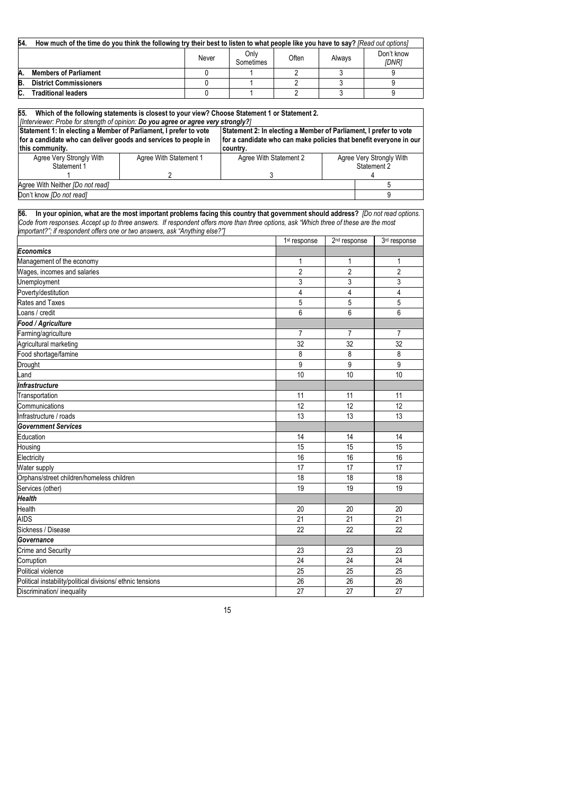| 54. | How much of the time do you think the following try their best to listen to what people like you have to say? [Read out options] |       |                   |       |        |                            |  |  |  |
|-----|----------------------------------------------------------------------------------------------------------------------------------|-------|-------------------|-------|--------|----------------------------|--|--|--|
|     |                                                                                                                                  | Never | Only<br>Sometimes | Often | Always | Don't know<br><b>IDNR1</b> |  |  |  |
|     | <b>Members of Parliament</b>                                                                                                     |       |                   |       |        |                            |  |  |  |
| B   | <b>District Commissioners</b>                                                                                                    |       |                   |       |        |                            |  |  |  |
|     | <b>Fraditional leaders</b>                                                                                                       |       |                   |       |        |                            |  |  |  |

| 55.                                                                                                                                                                                                                                           | Which of the following statements is closest to your view? Choose Statement 1 or Statement 2.                                   |                                                                                                                                                     |                          |                          |                |
|-----------------------------------------------------------------------------------------------------------------------------------------------------------------------------------------------------------------------------------------------|---------------------------------------------------------------------------------------------------------------------------------|-----------------------------------------------------------------------------------------------------------------------------------------------------|--------------------------|--------------------------|----------------|
| [Interviewer: Probe for strength of opinion: Do you agree or agree very strongly?]<br>Statement 1: In electing a Member of Parliament, I prefer to vote<br>for a candidate who can deliver goods and services to people in<br>this community. |                                                                                                                                 | Statement 2: In electing a Member of Parliament, I prefer to vote<br>for a candidate who can make policies that benefit everyone in our<br>country. |                          |                          |                |
| Agree Very Strongly With                                                                                                                                                                                                                      | Agree With Statement 1                                                                                                          | Agree With Statement 2                                                                                                                              |                          | Agree Very Strongly With |                |
| Statement 1                                                                                                                                                                                                                                   |                                                                                                                                 |                                                                                                                                                     |                          |                          | Statement 2    |
|                                                                                                                                                                                                                                               | 2                                                                                                                               | 3                                                                                                                                                   |                          | 4                        |                |
| Agree With Neither [Do not read]                                                                                                                                                                                                              |                                                                                                                                 |                                                                                                                                                     |                          |                          | 5              |
| Don't know <i>[Do not read]</i>                                                                                                                                                                                                               |                                                                                                                                 |                                                                                                                                                     |                          |                          | 9              |
| 56.<br>Code from responses. Accept up to three answers. If respondent offers more than three options, ask "Which three of these are the most<br>important?"; if respondent offers one or two answers, ask "Anything else?"]                   | In your opinion, what are the most important problems facing this country that government should address? [Do not read options. |                                                                                                                                                     | 1 <sup>st</sup> response | 2 <sup>nd</sup> response | 3rd response   |
| Economics                                                                                                                                                                                                                                     |                                                                                                                                 |                                                                                                                                                     |                          |                          |                |
|                                                                                                                                                                                                                                               |                                                                                                                                 |                                                                                                                                                     | 1                        | 1                        | 1              |
| Management of the economy<br>Wages, incomes and salaries                                                                                                                                                                                      |                                                                                                                                 |                                                                                                                                                     | $\overline{2}$           | $\overline{2}$           | $\overline{2}$ |
| Unemployment                                                                                                                                                                                                                                  |                                                                                                                                 |                                                                                                                                                     | 3                        | 3                        | 3              |
| Poverty/destitution                                                                                                                                                                                                                           |                                                                                                                                 |                                                                                                                                                     | $\overline{4}$           | 4                        | $\overline{4}$ |
| Rates and Taxes                                                                                                                                                                                                                               |                                                                                                                                 |                                                                                                                                                     | 5                        | 5                        | 5              |
| oans / credit                                                                                                                                                                                                                                 |                                                                                                                                 |                                                                                                                                                     | 6                        | 6                        | 6              |
| Food / Agriculture                                                                                                                                                                                                                            |                                                                                                                                 |                                                                                                                                                     |                          |                          |                |
| Farming/agriculture                                                                                                                                                                                                                           |                                                                                                                                 |                                                                                                                                                     | $\overline{7}$           | $\overline{7}$           | $\overline{7}$ |
| Agricultural marketing                                                                                                                                                                                                                        |                                                                                                                                 |                                                                                                                                                     | 32                       | 32                       | 32             |
| Food shortage/famine                                                                                                                                                                                                                          |                                                                                                                                 |                                                                                                                                                     | 8                        | 8                        | 8              |
| Drought                                                                                                                                                                                                                                       |                                                                                                                                 |                                                                                                                                                     | 9                        | 9                        | 9              |
| Land                                                                                                                                                                                                                                          |                                                                                                                                 |                                                                                                                                                     | 10                       | 10                       | 10             |
| Infrastructure                                                                                                                                                                                                                                |                                                                                                                                 |                                                                                                                                                     |                          |                          |                |
| Transportation                                                                                                                                                                                                                                |                                                                                                                                 |                                                                                                                                                     | 11                       | 11                       | 11             |
| Communications                                                                                                                                                                                                                                |                                                                                                                                 |                                                                                                                                                     | 12                       | 12                       | 12             |
| Infrastructure / roads                                                                                                                                                                                                                        |                                                                                                                                 |                                                                                                                                                     | 13                       | 13                       | 13             |
| <b>Government Services</b>                                                                                                                                                                                                                    |                                                                                                                                 |                                                                                                                                                     |                          |                          |                |
| Education                                                                                                                                                                                                                                     |                                                                                                                                 |                                                                                                                                                     | 14                       | 14                       | 14             |
| Housing                                                                                                                                                                                                                                       |                                                                                                                                 |                                                                                                                                                     | 15                       | 15                       | 15             |
| Electricity                                                                                                                                                                                                                                   |                                                                                                                                 |                                                                                                                                                     | 16                       | 16                       | 16             |
| Water supply                                                                                                                                                                                                                                  |                                                                                                                                 |                                                                                                                                                     | 17                       | 17                       | 17             |
| Orphans/street children/homeless children                                                                                                                                                                                                     |                                                                                                                                 |                                                                                                                                                     | 18                       | 18                       | 18             |
| Services (other)                                                                                                                                                                                                                              |                                                                                                                                 |                                                                                                                                                     | 19                       | 19                       | 19             |
| <b>Health</b>                                                                                                                                                                                                                                 |                                                                                                                                 |                                                                                                                                                     |                          |                          |                |
| Health                                                                                                                                                                                                                                        |                                                                                                                                 |                                                                                                                                                     | 20                       | 20                       | 20             |
| AIDS                                                                                                                                                                                                                                          |                                                                                                                                 |                                                                                                                                                     | 21                       | 21                       | 21             |
| Sickness / Disease                                                                                                                                                                                                                            |                                                                                                                                 |                                                                                                                                                     | 22                       | 22                       | 22             |
| Governance                                                                                                                                                                                                                                    |                                                                                                                                 |                                                                                                                                                     |                          |                          |                |
| Crime and Security                                                                                                                                                                                                                            |                                                                                                                                 |                                                                                                                                                     | 23                       | 23                       | 23             |
| Corruption                                                                                                                                                                                                                                    |                                                                                                                                 |                                                                                                                                                     | 24                       | 24                       | 24             |
| Political violence                                                                                                                                                                                                                            |                                                                                                                                 |                                                                                                                                                     | 25                       | 25                       | 25             |
| Political instability/political divisions/ ethnic tensions                                                                                                                                                                                    |                                                                                                                                 |                                                                                                                                                     | 26                       | 26                       | 26             |
| Discrimination/ inequality                                                                                                                                                                                                                    |                                                                                                                                 |                                                                                                                                                     | 27                       | 27                       | 27             |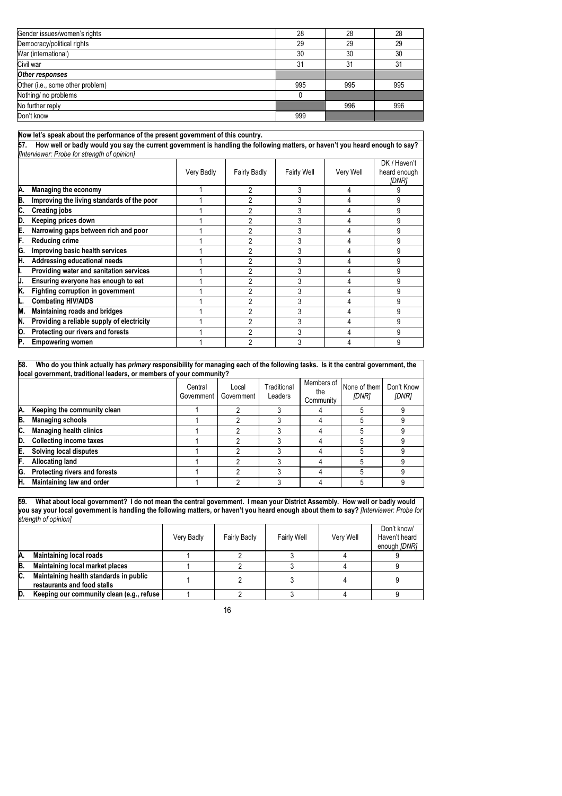| Gender issues/women's rights     | 28  | 28  | 28  |
|----------------------------------|-----|-----|-----|
| Democracy/political rights       | 29  | 29  | 29  |
| War (international)              | 30  | 30  | 30  |
| Civil war                        | 31  | 31  | 31  |
| Other responses                  |     |     |     |
| Other (i.e., some other problem) | 995 | 995 | 995 |
| Nothing/ no problems             |     |     |     |
| No further reply                 |     | 996 | 996 |
| Don't know                       | 999 |     |     |

## **Now let's speak about the performance of the present government of this country.**

**57. How well or badly would you say the current government is handling the following matters, or haven't you heard enough to say?**  *[Interviewer: Probe for strength of opinion]*

|     |                                            | Very Badly | <b>Fairly Badly</b> | <b>Fairly Well</b> | Very Well | DK / Haven't<br>heard enough<br>[DNR] |
|-----|--------------------------------------------|------------|---------------------|--------------------|-----------|---------------------------------------|
| Α.  | Managing the economy                       |            |                     |                    |           |                                       |
| B.  | Improving the living standards of the poor |            |                     |                    |           |                                       |
| C.  | <b>Creating jobs</b>                       |            |                     |                    |           |                                       |
| D.  | Keeping prices down                        |            |                     |                    |           |                                       |
| Е.  | Narrowing gaps between rich and poor       |            |                     |                    |           |                                       |
| F.  | <b>Reducing crime</b>                      |            |                     |                    |           |                                       |
| G.  | Improving basic health services            |            |                     |                    |           |                                       |
| Η.  | Addressing educational needs               |            |                     |                    |           |                                       |
| н.  | Providing water and sanitation services    |            |                     |                    |           |                                       |
| IJ. | Ensuring everyone has enough to eat        |            |                     |                    |           |                                       |
| K.  | Fighting corruption in government          |            |                     |                    |           |                                       |
|     | <b>Combating HIV/AIDS</b>                  |            |                     |                    |           |                                       |
| M.  | Maintaining roads and bridges              |            |                     |                    |           |                                       |
| IN. | Providing a reliable supply of electricity |            |                     |                    |           |                                       |
| Ю.  | Protecting our rivers and forests          |            |                     |                    |           |                                       |
| Р.  | <b>Empowering women</b>                    |            |                     |                    |           |                                       |

**58. Who do you think actually has** *primary* **responsibility for managing each of the following tasks. Is it the central government, the local government, traditional leaders, or members of your community?**

|     |                                | Central<br>Government I | Local<br>Government | Traditional<br>Leaders | Members of<br>the<br>Community | None of them<br>[DNR] | Don't Know<br>[DNR] |
|-----|--------------------------------|-------------------------|---------------------|------------------------|--------------------------------|-----------------------|---------------------|
| Α.  | Keeping the community clean    |                         |                     |                        |                                |                       |                     |
| B.  | <b>Managing schools</b>        |                         |                     |                        |                                |                       |                     |
| IC. | <b>Managing health clinics</b> |                         |                     |                        |                                |                       |                     |
| D.  | <b>Collecting income taxes</b> |                         |                     |                        |                                |                       |                     |
| Е.  | Solving local disputes         |                         |                     |                        |                                |                       |                     |
| IF. | <b>Allocating land</b>         |                         |                     |                        |                                |                       |                     |
| G.  | Protecting rivers and forests  |                         |                     |                        |                                |                       |                     |
| H.  | Maintaining law and order      |                         |                     |                        |                                |                       |                     |

**59. What about local government? I do not mean the central government. I mean your District Assembly. How well or badly would you say your local government is handling the following matters, or haven't you heard enough about them to say?** *[Interviewer: Probe for strength of opinion]*

|    |                                                                       | Very Badly | <b>Fairly Badly</b> | <b>Fairly Well</b> | Very Well | Don't know/<br>Haven't heard<br>enough [DNR] |
|----|-----------------------------------------------------------------------|------------|---------------------|--------------------|-----------|----------------------------------------------|
| Α. | <b>Maintaining local roads</b>                                        |            |                     |                    |           |                                              |
| B. | Maintaining local market places                                       |            |                     |                    |           |                                              |
| C. | Maintaining health standards in public<br>restaurants and food stalls |            |                     |                    |           |                                              |
| D. | Keeping our community clean (e.g., refuse                             |            |                     |                    |           |                                              |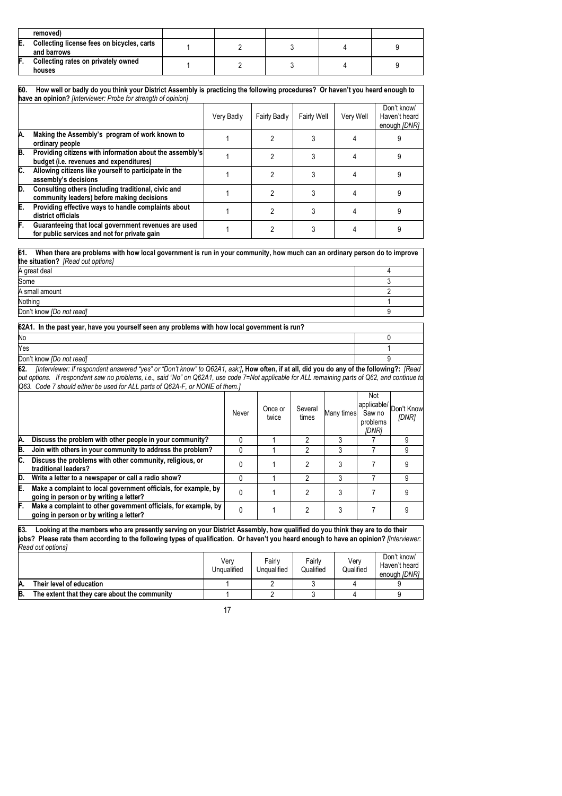|    | removed)                                                  |  |  |  |
|----|-----------------------------------------------------------|--|--|--|
| E. | Collecting license fees on bicycles, carts<br>and barrows |  |  |  |
| F. | Collecting rates on privately owned<br>houses             |  |  |  |

| 60. | How well or badly do you think your District Assembly is practicing the following procedures? Or haven't you heard enough to<br>have an opinion? [Interviewer: Probe for strength of opinion] |            |                     |                    |           |                                              |  |  |  |
|-----|-----------------------------------------------------------------------------------------------------------------------------------------------------------------------------------------------|------------|---------------------|--------------------|-----------|----------------------------------------------|--|--|--|
|     |                                                                                                                                                                                               | Very Badly | <b>Fairly Badly</b> | <b>Fairly Well</b> | Very Well | Don't know/<br>Haven't heard<br>enough [DNR] |  |  |  |
| Α.  | Making the Assembly's program of work known to<br>ordinary people                                                                                                                             |            |                     |                    |           |                                              |  |  |  |
| B.  | Providing citizens with information about the assembly's<br>budget (i.e. revenues and expenditures)                                                                                           |            |                     |                    |           |                                              |  |  |  |
| C.  | Allowing citizens like yourself to participate in the<br>assembly's decisions                                                                                                                 |            | っ                   |                    |           |                                              |  |  |  |
| D.  | Consulting others (including traditional, civic and<br>community leaders) before making decisions                                                                                             |            | 2                   |                    |           |                                              |  |  |  |
| E.  | Providing effective ways to handle complaints about<br>district officials                                                                                                                     |            | 2                   |                    |           |                                              |  |  |  |
| F.  | Guaranteeing that local government revenues are used<br>for public services and not for private gain                                                                                          |            |                     |                    |           |                                              |  |  |  |

| 61.<br>When there are problems with how local government is run in your community, how much can an ordinary person do to improve |  |
|----------------------------------------------------------------------------------------------------------------------------------|--|
| the situation? [Read out options]                                                                                                |  |
| A great deal                                                                                                                     |  |
| Some                                                                                                                             |  |
| A small amount                                                                                                                   |  |

Nothing the contract of the contract of the contract of the contract of the contract of the contract of the contract of the contract of the contract of the contract of the contract of the contract of the contract of the co Don't know *[Do not read]* 9

| 62A1. In the past year, have you yourself seen any problems with how local government is run? |  |
|-----------------------------------------------------------------------------------------------|--|
| No                                                                                            |  |

Yes the contract of the contract of the contract of the contract of the contract of the contract of the contract of the contract of the contract of the contract of the contract of the contract of the contract of the contra

| Don't know IDo not readl |  |
|--------------------------|--|
|                          |  |

**62.** *[Interviewer: If respondent answered "yes" or "Don't know" to Q62A1, ask:]***, How often, if at all, did you do any of the following?:** *[Read out options. If respondent saw no problems, i.e., said "No" on Q62A1, use code 7=Not applicable for ALL remaining parts of Q62, and continue to Q63. Code 7 should either be used for ALL parts of Q62A-F, or NONE of them.]*

|    |                                                                                                            | Never | Once or<br>twice | Several<br>times | Many times | Not<br>Saw no<br>problems<br>[DNR] | (applicable/ Don't Know<br>[DNR] |
|----|------------------------------------------------------------------------------------------------------------|-------|------------------|------------------|------------|------------------------------------|----------------------------------|
| А. | Discuss the problem with other people in your community?                                                   |       |                  |                  |            |                                    | 9                                |
| B. | Join with others in your community to address the problem?                                                 |       |                  |                  | 3          |                                    | 9                                |
| C. | Discuss the problems with other community, religious, or<br>traditional leaders?                           |       |                  | 2                |            |                                    | g                                |
| D. | Write a letter to a newspaper or call a radio show?                                                        |       |                  | 2                |            |                                    | 9                                |
| Е. | Make a complaint to local government officials, for example, by<br>going in person or by writing a letter? |       |                  | っ                |            |                                    | 9                                |
| F. | Make a complaint to other government officials, for example, by<br>going in person or by writing a letter? |       |                  |                  |            |                                    |                                  |

**63. Looking at the members who are presently serving on your District Assembly, how qualified do you think they are to do their jobs? Please rate them according to the following types of qualification. Or haven't you heard enough to have an opinion?** *[Interviewer: Read out options]*

|    |                                               | Verv<br>Unqualified | Fairly<br>Unqualified | Fairly<br>Qualified | Verv<br>Qualified | Don't know/<br>Haven't heard<br>enough [DNR] |
|----|-----------------------------------------------|---------------------|-----------------------|---------------------|-------------------|----------------------------------------------|
| А. | Their level of education                      |                     |                       |                     |                   |                                              |
| B. | The extent that they care about the community |                     |                       |                     |                   |                                              |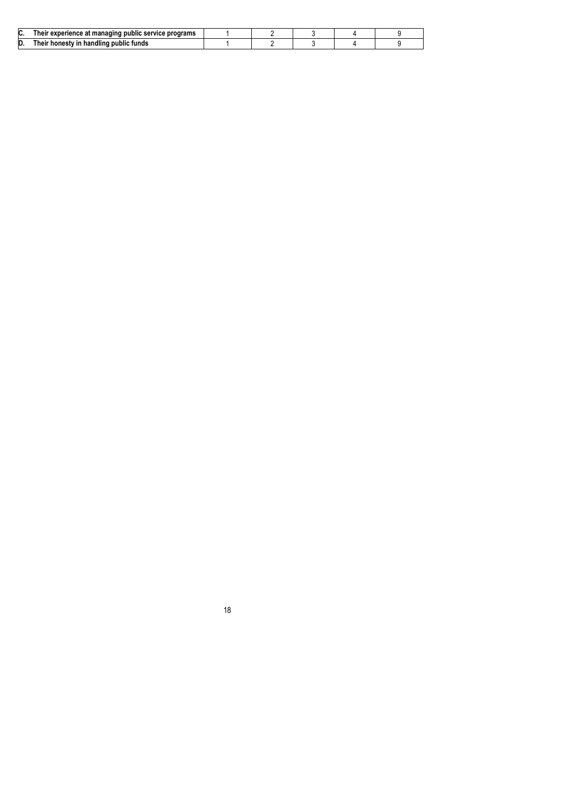| IC.<br>r experience at managing public service programs *<br>пет |  |
|------------------------------------------------------------------|--|
| D.<br>handling<br>i public tunds<br>nest                         |  |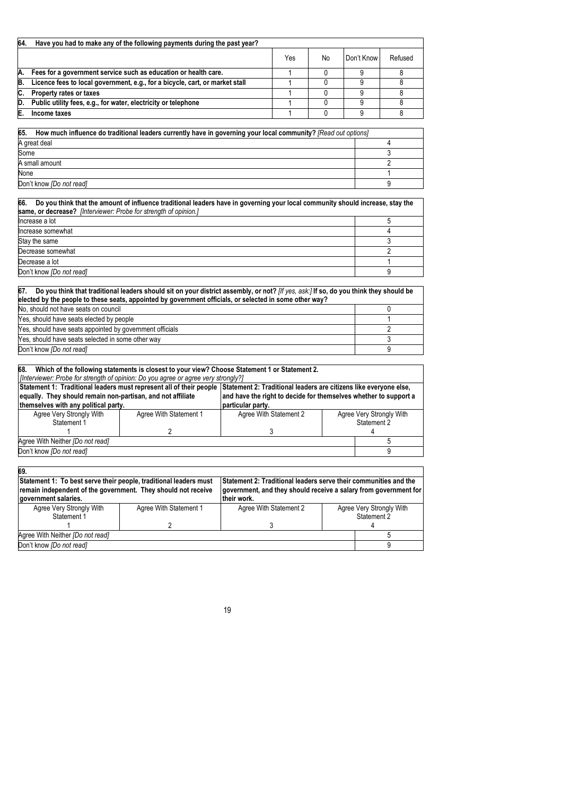| 64.<br>Have you had to make any of the following payments during the past year? |                                                                              |     |    |            |         |  |
|---------------------------------------------------------------------------------|------------------------------------------------------------------------------|-----|----|------------|---------|--|
|                                                                                 |                                                                              | Yes | No | Don't Know | Refused |  |
| Α.                                                                              | Fees for a government service such as education or health care.              |     |    |            |         |  |
| B.                                                                              | Licence fees to local government, e.g., for a bicycle, cart, or market stall |     |    |            |         |  |
|                                                                                 | Property rates or taxes                                                      |     |    |            |         |  |
| D.                                                                              | Public utility fees, e.g., for water, electricity or telephone               |     |    |            |         |  |
|                                                                                 | Income taxes                                                                 |     |    |            |         |  |

| 65.<br>How much influence do traditional leaders currently have in governing your local community? [Read out options] |  |
|-----------------------------------------------------------------------------------------------------------------------|--|
| A great deal                                                                                                          |  |
| Some                                                                                                                  |  |
| A small amount                                                                                                        |  |
| None                                                                                                                  |  |
| Don't know <i>[Do not read]</i>                                                                                       |  |

| 66. Do you think that the amount of influence traditional leaders have in governing your local community should increase, stay the |  |  |  |  |  |  |
|------------------------------------------------------------------------------------------------------------------------------------|--|--|--|--|--|--|
| same, or decrease? [Interviewer: Probe for strength of opinion.]                                                                   |  |  |  |  |  |  |
| Increase a lot                                                                                                                     |  |  |  |  |  |  |
| Increase somewhat                                                                                                                  |  |  |  |  |  |  |
| Stay the same                                                                                                                      |  |  |  |  |  |  |
| Decrease somewhat                                                                                                                  |  |  |  |  |  |  |
| Decrease a lot                                                                                                                     |  |  |  |  |  |  |
| Don't know [Do not read]                                                                                                           |  |  |  |  |  |  |

| 67. Do you think that traditional leaders should sit on your district assembly, or not? [If yes, ask:] If so, do you think they should be |  |  |  |  |
|-------------------------------------------------------------------------------------------------------------------------------------------|--|--|--|--|
| elected by the people to these seats, appointed by government officials, or selected in some other way?                                   |  |  |  |  |
| No, should not have seats on council                                                                                                      |  |  |  |  |
| Yes, should have seats elected by people                                                                                                  |  |  |  |  |
| Yes, should have seats appointed by government officials                                                                                  |  |  |  |  |
| Yes, should have seats selected in some other way                                                                                         |  |  |  |  |
| Don't know <i>[Do not read]</i>                                                                                                           |  |  |  |  |

| 68.<br>Which of the following statements is closest to your view? Choose Statement 1 or Statement 2.                                  |                   |                        |                          |  |  |  |
|---------------------------------------------------------------------------------------------------------------------------------------|-------------------|------------------------|--------------------------|--|--|--|
| [Interviewer: Probe for strength of opinion: Do you agree or agree very strongly?]                                                    |                   |                        |                          |  |  |  |
| Statement 1: Traditional leaders must represent all of their people Statement 2: Traditional leaders are citizens like everyone else, |                   |                        |                          |  |  |  |
| equally. They should remain non-partisan, and not affiliate<br>and have the right to decide for themselves whether to support a       |                   |                        |                          |  |  |  |
| themselves with any political party.                                                                                                  | particular party. |                        |                          |  |  |  |
| Agree Very Strongly With<br>Agree With Statement 1                                                                                    |                   | Agree With Statement 2 | Agree Very Strongly With |  |  |  |
| Statement 1                                                                                                                           |                   |                        | Statement 2              |  |  |  |
|                                                                                                                                       |                   |                        |                          |  |  |  |
| Agree With Neither [Do not read]                                                                                                      |                   |                        |                          |  |  |  |
| Don't know <i>[Do not read]</i>                                                                                                       |                   |                        |                          |  |  |  |

| 69.                                                                                                                                |                        |                                                                                                                                             |                          |  |  |
|------------------------------------------------------------------------------------------------------------------------------------|------------------------|---------------------------------------------------------------------------------------------------------------------------------------------|--------------------------|--|--|
| Statement 1: To best serve their people, traditional leaders must<br>remain independent of the government. They should not receive |                        | <b>Statement 2: Traditional leaders serve their communities and the</b><br>government, and they should receive a salary from government for |                          |  |  |
| government salaries.                                                                                                               |                        | their work.                                                                                                                                 |                          |  |  |
| Agree Very Strongly With                                                                                                           | Agree With Statement 1 | Agree With Statement 2                                                                                                                      | Agree Very Strongly With |  |  |
| Statement 1                                                                                                                        |                        |                                                                                                                                             | Statement 2              |  |  |
|                                                                                                                                    |                        |                                                                                                                                             |                          |  |  |
| Agree With Neither [Do not read]                                                                                                   |                        |                                                                                                                                             |                          |  |  |
| Don't know <i>[Do not read]</i>                                                                                                    |                        |                                                                                                                                             |                          |  |  |
|                                                                                                                                    |                        |                                                                                                                                             |                          |  |  |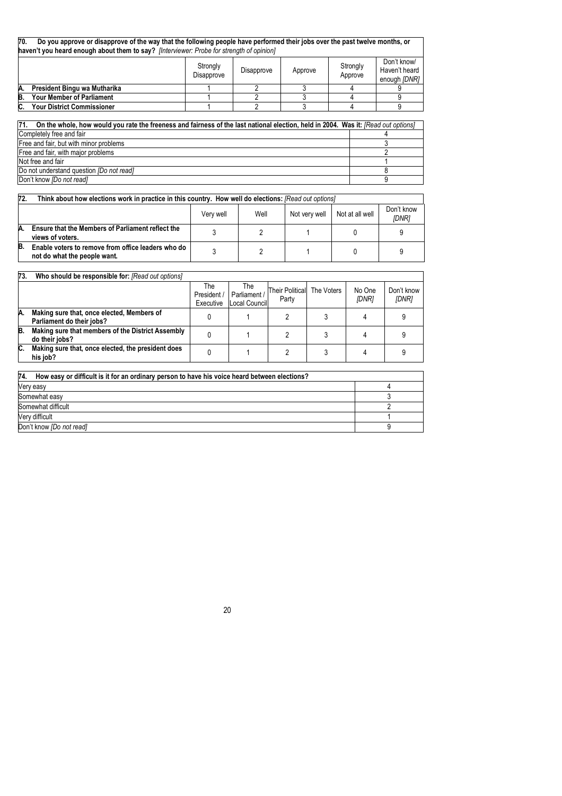| 70. | Do you approve or disapprove of the way that the following people have performed their jobs over the past twelve months, or<br>haven't you heard enough about them to say? [Interviewer: Probe for strength of opinion] |                        |            |         |                     |                                              |  |  |
|-----|-------------------------------------------------------------------------------------------------------------------------------------------------------------------------------------------------------------------------|------------------------|------------|---------|---------------------|----------------------------------------------|--|--|
|     |                                                                                                                                                                                                                         | Strongly<br>Disapprove | Disapprove | Approve | Strongly<br>Approve | Don't know/<br>Haven't heard<br>enough [DNR] |  |  |
| A.  | President Bingu wa Mutharika                                                                                                                                                                                            |                        |            |         |                     |                                              |  |  |
| B.  | <b>Your Member of Parliament</b>                                                                                                                                                                                        |                        |            |         |                     |                                              |  |  |
|     | <b>Your District Commissioner</b>                                                                                                                                                                                       |                        |            |         |                     |                                              |  |  |

| 71.<br>On the whole, how would you rate the freeness and fairness of the last national election, held in 2004. Was it: [Read out options] |  |
|-------------------------------------------------------------------------------------------------------------------------------------------|--|
| Completely free and fair                                                                                                                  |  |
| Free and fair, but with minor problems                                                                                                    |  |
| Free and fair, with major problems                                                                                                        |  |
| Not free and fair                                                                                                                         |  |
| Do not understand question (Do not read)                                                                                                  |  |
| Don't know <i>[Do not read]</i>                                                                                                           |  |

| 72. | Think about how elections work in practice in this country. How well do elections: [Read out options] |      |               |                 |                            |  |  |  |  |
|-----|-------------------------------------------------------------------------------------------------------|------|---------------|-----------------|----------------------------|--|--|--|--|
|     |                                                                                                       | Well | Not very well | Not at all well | Don't know<br><b>IDNRI</b> |  |  |  |  |
| A.  | Ensure that the Members of Parliament reflect the<br>views of voters.                                 |      |               |                 |                            |  |  |  |  |
| B.  | Enable voters to remove from office leaders who do<br>not do what the people want.                    |      |               |                 |                            |  |  |  |  |

| 73. | Who should be responsible for: [Read out options]                       |                                 |                                      |                                     |                        |                     |
|-----|-------------------------------------------------------------------------|---------------------------------|--------------------------------------|-------------------------------------|------------------------|---------------------|
|     |                                                                         | The<br>President /<br>Executive | The<br>Parliament /<br>Local Council | Their Political The Voters<br>Party | No One<br><b>IDNR1</b> | Don't know<br>[DNR] |
| A.  | Making sure that, once elected, Members of<br>Parliament do their jobs? |                                 |                                      |                                     |                        |                     |
| B.  | Making sure that members of the District Assembly<br>do their jobs?     |                                 |                                      |                                     |                        |                     |
| C.  | Making sure that, once elected, the president does<br>his job?          |                                 |                                      |                                     |                        |                     |

| 74.<br>How easy or difficult is it for an ordinary person to have his voice heard between elections? |  |  |  |  |  |
|------------------------------------------------------------------------------------------------------|--|--|--|--|--|
| Very easy                                                                                            |  |  |  |  |  |
| Somewhat easy                                                                                        |  |  |  |  |  |
| Somewhat difficult                                                                                   |  |  |  |  |  |
| Very difficult                                                                                       |  |  |  |  |  |
| Don't know <i>[Do not read]</i>                                                                      |  |  |  |  |  |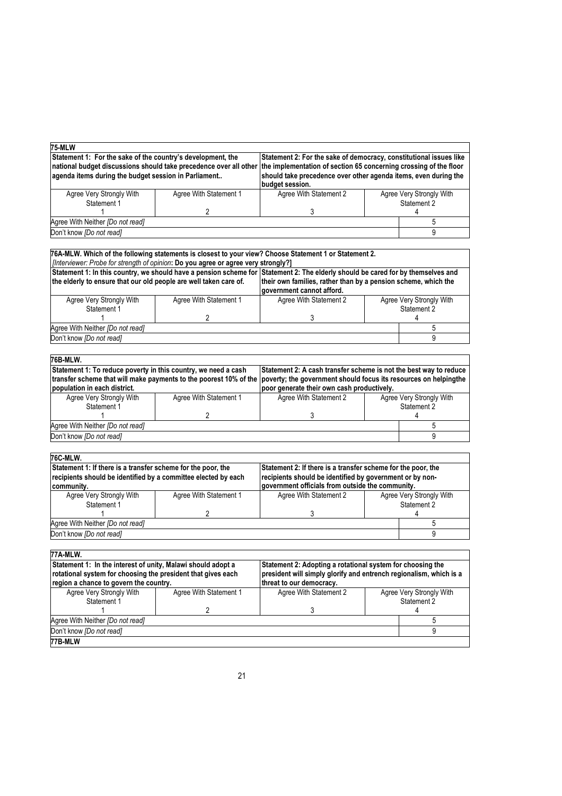| 75-MLW                                                                                                                                                                                   |                        |                                                                                                                                                                                                                               |  |                          |
|------------------------------------------------------------------------------------------------------------------------------------------------------------------------------------------|------------------------|-------------------------------------------------------------------------------------------------------------------------------------------------------------------------------------------------------------------------------|--|--------------------------|
| Statement 1: For the sake of the country's development, the<br>national budget discussions should take precedence over all other<br>agenda items during the budget session in Parliament |                        | Statement 2: For the sake of democracy, constitutional issues like<br>the implementation of section 65 concerning crossing of the floor<br>should take precedence over other agenda items, even during the<br>budget session. |  |                          |
| Agree Very Strongly With<br>Statement 1                                                                                                                                                  | Agree With Statement 1 | Agree With Statement 2<br>Agree Very Strongly With<br>Statement 2                                                                                                                                                             |  |                          |
|                                                                                                                                                                                          | 2                      | 3                                                                                                                                                                                                                             |  |                          |
| Agree With Neither [Do not read]                                                                                                                                                         |                        |                                                                                                                                                                                                                               |  | 5                        |
| Don't know <i>[Do not read]</i>                                                                                                                                                          |                        |                                                                                                                                                                                                                               |  | 9                        |
|                                                                                                                                                                                          |                        |                                                                                                                                                                                                                               |  |                          |
| .2 76A-MLW. Which of the following statements is closest to your view? Choose Statement 1 or Statement                                                                                   |                        |                                                                                                                                                                                                                               |  |                          |
| [Interviewer: Probe for strength of opinion: Do you agree or agree very strongly?]                                                                                                       |                        |                                                                                                                                                                                                                               |  |                          |
|                                                                                                                                                                                          |                        | Statement 1: In this country, we should have a pension scheme for Statement 2: The elderly should be cared for by themselves and                                                                                              |  |                          |
| the elderly to ensure that our old people are well taken care of.                                                                                                                        |                        | their own families, rather than by a pension scheme, which the                                                                                                                                                                |  |                          |
|                                                                                                                                                                                          |                        | government cannot afford.                                                                                                                                                                                                     |  |                          |
| Agree Very Strongly With                                                                                                                                                                 | Agree With Statement 1 | Agree With Statement 2                                                                                                                                                                                                        |  | Agree Very Strongly With |
| Statement 1                                                                                                                                                                              |                        |                                                                                                                                                                                                                               |  | Statement 2              |
|                                                                                                                                                                                          | $\overline{2}$         | 3                                                                                                                                                                                                                             |  |                          |
| Agree With Neither [Do not read]                                                                                                                                                         |                        |                                                                                                                                                                                                                               |  | 5                        |
| Don't know <i>[Do not read]</i>                                                                                                                                                          |                        |                                                                                                                                                                                                                               |  | 9                        |
|                                                                                                                                                                                          |                        |                                                                                                                                                                                                                               |  |                          |
| 76B-MLW.                                                                                                                                                                                 |                        |                                                                                                                                                                                                                               |  |                          |
| Statement 1: To reduce poverty in this country, we need a cash                                                                                                                           |                        | Statement 2: A cash transfer scheme is not the best way to reduce                                                                                                                                                             |  |                          |
| transfer scheme that will make payments to the poorest 10% of the                                                                                                                        |                        | poverty; the government should focus its resources on helpingthe                                                                                                                                                              |  |                          |
| population in each district.                                                                                                                                                             |                        | poor generate their own cash productively.                                                                                                                                                                                    |  |                          |
| Agree Very Strongly With                                                                                                                                                                 | Agree With Statement 1 | Agree With Statement 2                                                                                                                                                                                                        |  | Agree Very Strongly With |
| Statement 1                                                                                                                                                                              |                        |                                                                                                                                                                                                                               |  | Statement 2              |
|                                                                                                                                                                                          | 2                      | 3                                                                                                                                                                                                                             |  |                          |
| Agree With Neither [Do not read]                                                                                                                                                         |                        |                                                                                                                                                                                                                               |  | 5                        |

Don't know *[Do not read]* 9

| 76C-MLW.                                                                                                                                     |                        |                                                                                                                                                                              |  |                                         |
|----------------------------------------------------------------------------------------------------------------------------------------------|------------------------|------------------------------------------------------------------------------------------------------------------------------------------------------------------------------|--|-----------------------------------------|
| Statement 1: If there is a transfer scheme for the poor, the<br>recipients should be identified by a committee elected by each<br>community. |                        | Statement 2: If there is a transfer scheme for the poor, the<br>recipients should be identified by government or by non-<br>government officials from outside the community. |  |                                         |
| Agree Very Strongly With<br>Statement 1                                                                                                      | Agree With Statement 1 | Agree With Statement 2                                                                                                                                                       |  | Agree Very Strongly With<br>Statement 2 |
|                                                                                                                                              |                        |                                                                                                                                                                              |  |                                         |
| Agree With Neither [Do not read]                                                                                                             |                        |                                                                                                                                                                              |  |                                         |
| Don't know <i>[Do not read]</i>                                                                                                              |                        |                                                                                                                                                                              |  |                                         |

| 77A-MLW.                                                                                                                                                                                                                                                         |                        |                          |  |                          |
|------------------------------------------------------------------------------------------------------------------------------------------------------------------------------------------------------------------------------------------------------------------|------------------------|--------------------------|--|--------------------------|
| Statement 1: In the interest of unity, Malawi should adopt a<br>Statement 2: Adopting a rotational system for choosing the<br>rotational system for choosing the president that gives each<br>president will simply glorify and entrench regionalism, which is a |                        |                          |  |                          |
| region a chance to govern the country.                                                                                                                                                                                                                           |                        | threat to our democracy. |  |                          |
| Agree Very Strongly With                                                                                                                                                                                                                                         | Agree With Statement 1 | Agree With Statement 2   |  | Agree Very Strongly With |
| Statement 1                                                                                                                                                                                                                                                      |                        |                          |  | Statement 2              |
|                                                                                                                                                                                                                                                                  |                        |                          |  |                          |
| Agree With Neither [Do not read]                                                                                                                                                                                                                                 |                        |                          |  |                          |
| Don't know <i>[Do not read]</i>                                                                                                                                                                                                                                  |                        |                          |  |                          |
| 77B-MLW                                                                                                                                                                                                                                                          |                        |                          |  |                          |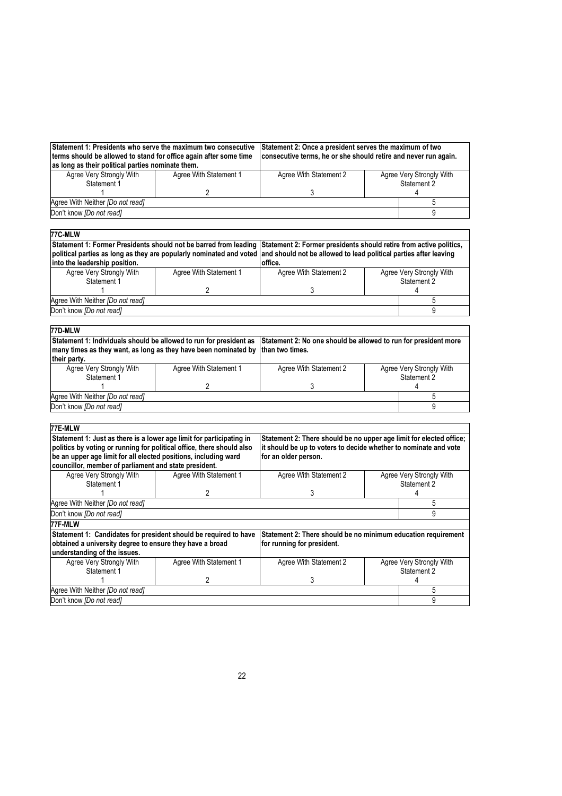| Statement 1: Presidents who serve the maximum two consecutive<br>terms should be allowed to stand for office again after some time<br>as long as their political parties nominate them. |                        | Statement 2: Once a president serves the maximum of two<br>consecutive terms, he or she should retire and never run again. |  |  |
|-----------------------------------------------------------------------------------------------------------------------------------------------------------------------------------------|------------------------|----------------------------------------------------------------------------------------------------------------------------|--|--|
| Agree Very Strongly With                                                                                                                                                                | Agree With Statement 1 | Agree Very Strongly With<br>Agree With Statement 2                                                                         |  |  |
| Statement 1                                                                                                                                                                             |                        | Statement 2                                                                                                                |  |  |
|                                                                                                                                                                                         |                        |                                                                                                                            |  |  |
| Agree With Neither <i>[Do not read]</i>                                                                                                                                                 |                        |                                                                                                                            |  |  |
| Don't know <i>[Do not read]</i>                                                                                                                                                         |                        |                                                                                                                            |  |  |

| 77C-MLW                                                                                                                               |                                                                                         |                                                                     |  |                          |
|---------------------------------------------------------------------------------------------------------------------------------------|-----------------------------------------------------------------------------------------|---------------------------------------------------------------------|--|--------------------------|
| Statement 1: Former Presidents should not be barred from leading                                                                      |                                                                                         | Statement 2: Former presidents should retire from active politics,  |  |                          |
| political parties as long as they are popularly nominated and voted and should not be allowed to lead political parties after leaving |                                                                                         |                                                                     |  |                          |
| into the leadership position.                                                                                                         |                                                                                         | office.                                                             |  |                          |
| Agree Very Strongly With                                                                                                              | Agree With Statement 1                                                                  | Agree With Statement 2                                              |  | Agree Very Strongly With |
| Statement 1                                                                                                                           |                                                                                         |                                                                     |  | Statement 2              |
|                                                                                                                                       | $\overline{2}$                                                                          | 3                                                                   |  |                          |
| Agree With Neither <i>IDo not read]</i>                                                                                               |                                                                                         |                                                                     |  | 5                        |
| Don't know [Do not read]                                                                                                              |                                                                                         |                                                                     |  | 9                        |
|                                                                                                                                       |                                                                                         |                                                                     |  |                          |
| 77D-MLW                                                                                                                               |                                                                                         |                                                                     |  |                          |
| Statement 1: Individuals should be allowed to run for president as                                                                    |                                                                                         | Statement 2: No one should be allowed to run for president more     |  |                          |
| many times as they want, as long as they have been nominated by                                                                       |                                                                                         | than two times.                                                     |  |                          |
| their party.                                                                                                                          |                                                                                         |                                                                     |  |                          |
| Agree Very Strongly With                                                                                                              | Agree With Statement 1                                                                  | Agree With Statement 2                                              |  | Agree Very Strongly With |
| Statement 1                                                                                                                           |                                                                                         |                                                                     |  | Statement 2              |
|                                                                                                                                       | 2                                                                                       | 3                                                                   |  |                          |
| Agree With Neither [Do not read]                                                                                                      |                                                                                         |                                                                     |  | 5                        |
| Don't know [Do not read]                                                                                                              |                                                                                         |                                                                     |  | 9                        |
|                                                                                                                                       |                                                                                         |                                                                     |  |                          |
| 77E-MLW                                                                                                                               |                                                                                         |                                                                     |  |                          |
| Statement 1: Just as there is a lower age limit for participating in                                                                  |                                                                                         | Statement 2: There should be no upper age limit for elected office; |  |                          |
| politics by voting or running for political office, there should also                                                                 |                                                                                         | it should be up to voters to decide whether to nominate and vote    |  |                          |
|                                                                                                                                       | be an upper age limit for all elected positions, including ward<br>for an older person. |                                                                     |  |                          |
| councillor, member of parliament and state president.                                                                                 |                                                                                         |                                                                     |  |                          |

| councillor, member of parliament and state president.                                    |                                                                  |                                                                                             |             |                                         |
|------------------------------------------------------------------------------------------|------------------------------------------------------------------|---------------------------------------------------------------------------------------------|-------------|-----------------------------------------|
| Agree Very Strongly With                                                                 | Agree With Statement 1                                           | Agree With Statement 2<br>Agree Very Strongly With                                          |             |                                         |
| Statement 1                                                                              |                                                                  |                                                                                             | Statement 2 |                                         |
|                                                                                          |                                                                  |                                                                                             |             |                                         |
| Agree With Neither <i>[Do not read]</i>                                                  |                                                                  |                                                                                             |             |                                         |
| Don't know <i>[Do not read]</i>                                                          |                                                                  |                                                                                             |             |                                         |
| 77F-MLW                                                                                  |                                                                  |                                                                                             |             |                                         |
|                                                                                          |                                                                  |                                                                                             |             |                                         |
| obtained a university degree to ensure they have a broad<br>understanding of the issues. | Statement 1: Candidates for president should be required to have | Statement 2: There should be no minimum education requirement<br>for running for president. |             |                                         |
| Agree Very Strongly With<br>Statement 1                                                  | Agree With Statement 1                                           | Agree With Statement 2                                                                      |             | Agree Very Strongly With<br>Statement 2 |
|                                                                                          |                                                                  |                                                                                             |             |                                         |

Don't know *[Do not read]* 9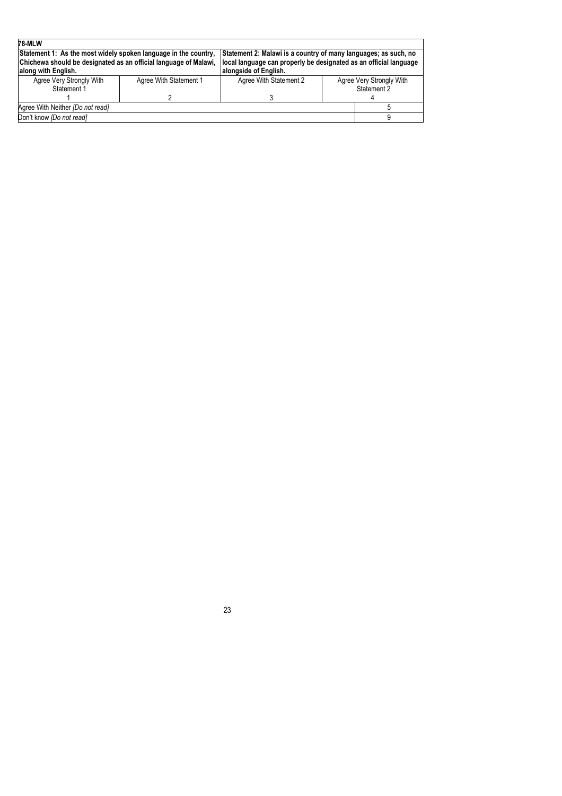| <b>78-MLW</b>                                                    |                        |                                                                   |  |                          |  |
|------------------------------------------------------------------|------------------------|-------------------------------------------------------------------|--|--------------------------|--|
| Statement 1: As the most widely spoken language in the country,  |                        | Statement 2: Malawi is a country of many languages; as such, no   |  |                          |  |
| Chichewa should be designated as an official language of Malawi, |                        | local language can properly be designated as an official language |  |                          |  |
| along with English.                                              |                        | alongside of English.                                             |  |                          |  |
| Agree Very Strongly With                                         | Agree With Statement 1 | Agree With Statement 2                                            |  | Agree Very Strongly With |  |
| Statement 1                                                      |                        |                                                                   |  | Statement 2              |  |
|                                                                  |                        |                                                                   |  |                          |  |
| Agree With Neither [Do not read]                                 |                        |                                                                   |  |                          |  |
| Don't know <i>[Do not read]</i>                                  |                        |                                                                   |  |                          |  |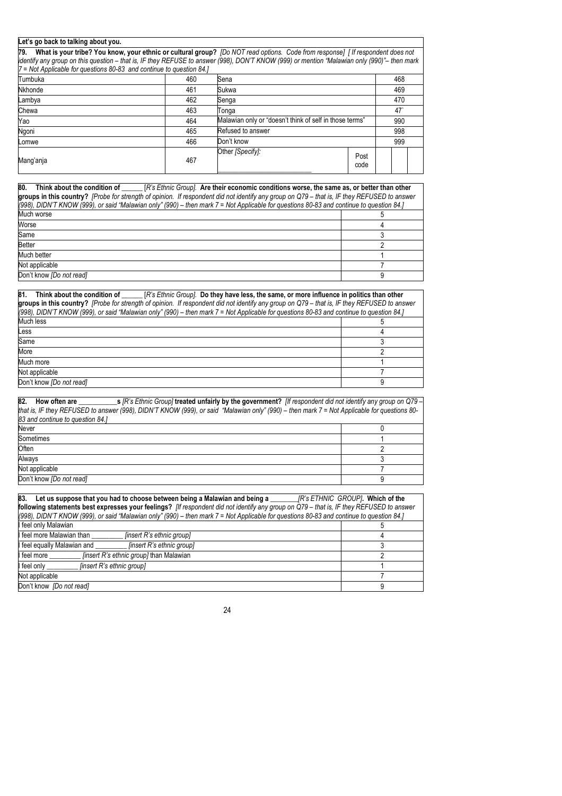#### **Let's go back to talking about you.**

**79. What is your tribe? You know, your ethnic or cultural group?** *[Do NOT read options. Code from response] [ If respondent does not identify any group on this question – that is, IF they REFUSE to answer (998), DON'T KNOW (999) or mention "Malawian only (990)"– then mark 7 = Not Applicable for questions 80-83 and continue to question 84.]*

| $-$ Not Applicable for gacations oc-oc-and continue to gacation oxit |     |                                                         |              |  |     |  |
|----------------------------------------------------------------------|-----|---------------------------------------------------------|--------------|--|-----|--|
| Tumbuka                                                              | 460 | Sena                                                    |              |  | 468 |  |
| Nkhonde                                                              | 461 | Sukwa                                                   |              |  | 469 |  |
| Lambya                                                               | 462 | Senga                                                   |              |  | 470 |  |
| Chewa                                                                | 463 | Tonga                                                   |              |  | 47  |  |
| Yao                                                                  | 464 | Malawian only or "doesn't think of self in those terms" |              |  | 990 |  |
| Ngoni                                                                | 465 | Refused to answer                                       |              |  | 998 |  |
| Lomwe                                                                | 466 | Don't know                                              |              |  | 999 |  |
| Mang'anja                                                            | 467 | Other [Specify]:                                        | Post<br>code |  |     |  |

| 80.<br>Think about the condition of [R's Ethnic Group]. Are their economic conditions worse, the same as, or better than other               |  |
|----------------------------------------------------------------------------------------------------------------------------------------------|--|
| groups in this country? [Probe for strength of opinion. If respondent did not identify any group on Q79 - that is, IF they REFUSED to answer |  |
| [(998), DIDN'T KNOW (999), or said "Malawian only" (990) - then mark 7 = Not Applicable for questions 80-83 and continue to question 84.]    |  |
| Much worse                                                                                                                                   |  |
| Worse                                                                                                                                        |  |
| Same                                                                                                                                         |  |
| <b>Better</b>                                                                                                                                |  |
| Much better                                                                                                                                  |  |
| Not applicable                                                                                                                               |  |
| Don't know <i>[Do not read]</i>                                                                                                              |  |

| 81.<br>Think about the condition of [R's Ethnic Group]. Do they have less, the same, or more influence in politics than other                                                                                                                                                            |   |
|------------------------------------------------------------------------------------------------------------------------------------------------------------------------------------------------------------------------------------------------------------------------------------------|---|
| groups in this country? [Probe for strength of opinion. If respondent did not identify any group on Q79 – that is, IF they REFUSED to answer<br>(998), DIDN'T KNOW (999), or said "Malawian only" (990) – then mark 7 = Not Applicable for questions 80-83 and continue to question 84.] |   |
| Much less                                                                                                                                                                                                                                                                                |   |
| Less                                                                                                                                                                                                                                                                                     |   |
| Same                                                                                                                                                                                                                                                                                     |   |
| More                                                                                                                                                                                                                                                                                     |   |
| Much more                                                                                                                                                                                                                                                                                |   |
| Not applicable                                                                                                                                                                                                                                                                           |   |
| Don't know [Do not read]                                                                                                                                                                                                                                                                 | a |

| 82.<br>How often are s $\Gamma$ 's Ethnic Group] treated unfairly by the government? If respondent did not identify any group on Q79 –      |  |
|---------------------------------------------------------------------------------------------------------------------------------------------|--|
| that is, IF they REFUSED to answer (998), DIDN'T KNOW (999), or said "Malawian only" (990) - then mark 7 = Not Applicable for questions 80- |  |
| 83 and continue to question 84.1                                                                                                            |  |
| Never                                                                                                                                       |  |
| Sometimes                                                                                                                                   |  |
| Often                                                                                                                                       |  |
| Always                                                                                                                                      |  |
| Not applicable                                                                                                                              |  |
| Don't know [Do not read]                                                                                                                    |  |

| 83.<br>Let us suppose that you had to choose between being a Malawian and being a                                                         | JR's ETHNIC GROUP]. Which of the |
|-------------------------------------------------------------------------------------------------------------------------------------------|----------------------------------|
| following statements best expresses your feelings? [If respondent did not identify any group on Q79 - that is, IF they REFUSED to answer  |                                  |
| ((998), DIDN'T KNOW (999), or said "Malawian only" (990) – then mark 7 = Not Applicable for questions 80-83 and continue to question 84.] |                                  |
| I feel only Malawian                                                                                                                      |                                  |
| I feel more Malawian than<br>[insert R's ethnic group]                                                                                    |                                  |
| <i>linsert R's ethnic groupl</i><br>I feel equally Malawian and                                                                           |                                  |
| <i>linsert R's ethnic group]</i> than Malawian<br>I feel more                                                                             |                                  |
| I feel only<br><i>finsert R's ethnic groupl</i>                                                                                           |                                  |
| Not applicable                                                                                                                            |                                  |
| Don't know [Do not read]                                                                                                                  |                                  |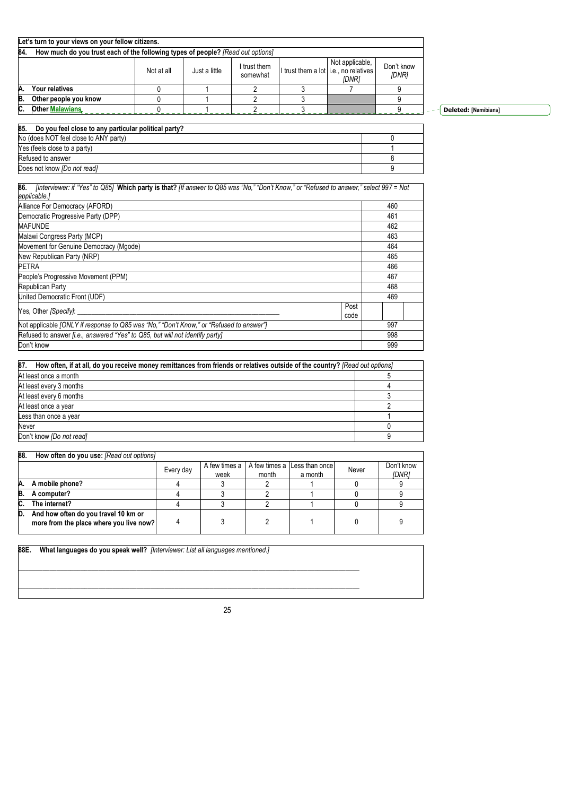|     | Let's turn to your views on your fellow citizens.                                                                                                          |  |  |  |  |  |  |  |
|-----|------------------------------------------------------------------------------------------------------------------------------------------------------------|--|--|--|--|--|--|--|
| 84. | How much do you trust each of the following types of people? [Read out options]                                                                            |  |  |  |  |  |  |  |
|     | Not applicable,<br>Don't know<br>I trust them<br>I trust them a lot i.e., no relatives<br>Not at all<br>Just a little<br>somewhat<br>[DNR]<br><b>IDNRI</b> |  |  |  |  |  |  |  |
| A   | Your relatives                                                                                                                                             |  |  |  |  |  |  |  |
| B.  | Other people you know                                                                                                                                      |  |  |  |  |  |  |  |
| C.  | <b>Other Malawians</b>                                                                                                                                     |  |  |  |  |  |  |  |

**Deleted: [Namibians]**

# **85. Do you feel close to any particular political party?**

| No (does NOT feel close to ANY party) |  |
|---------------------------------------|--|
| Yes (feels close to a party)          |  |
| Refused to answer                     |  |
| Does not know <i>[Do not read]</i>    |  |

| 86.<br>[Interviewer: if "Yes" to Q85] Which party is that? [If answer to Q85 was "No," "Don't Know," or "Refused to answer," select 997 = Not<br>applicable.] |      |     |
|---------------------------------------------------------------------------------------------------------------------------------------------------------------|------|-----|
| Alliance For Democracy (AFORD)                                                                                                                                |      | 460 |
| Democratic Progressive Party (DPP)                                                                                                                            |      | 461 |
| <b>MAFUNDE</b>                                                                                                                                                |      | 462 |
| Malawi Congress Party (MCP)                                                                                                                                   |      | 463 |
| Movement for Genuine Democracy (Mgode)                                                                                                                        |      | 464 |
| New Republican Party (NRP)                                                                                                                                    |      | 465 |
| <b>PETRA</b>                                                                                                                                                  |      | 466 |
| People's Progressive Movement (PPM)                                                                                                                           |      | 467 |
| Republican Party                                                                                                                                              |      | 468 |
| United Democratic Front (UDF)                                                                                                                                 |      | 469 |
| Yes, Other [Specify]:                                                                                                                                         | Post |     |
|                                                                                                                                                               | code |     |
| Not applicable [ONLY if response to Q85 was "No," "Don't Know," or "Refused to answer"]                                                                       |      | 997 |
| Refused to answer <i>[i.e., answered "Yes" to Q85, but will not identify party]</i>                                                                           |      | 998 |
| Don't know                                                                                                                                                    |      | 999 |

| 87.<br>How often, if at all, do you receive money remittances from friends or relatives outside of the country? [Read out options] |  |  |  |
|------------------------------------------------------------------------------------------------------------------------------------|--|--|--|
| At least once a month                                                                                                              |  |  |  |
| At least every 3 months                                                                                                            |  |  |  |
| At least every 6 months                                                                                                            |  |  |  |
| At least once a year                                                                                                               |  |  |  |
| Less than once a year                                                                                                              |  |  |  |
| Never                                                                                                                              |  |  |  |
| Don't know [Do not read]                                                                                                           |  |  |  |

| 88. | How often do you use: [Read out options]                                        |           |                       |       |                                         |       |                            |
|-----|---------------------------------------------------------------------------------|-----------|-----------------------|-------|-----------------------------------------|-------|----------------------------|
|     |                                                                                 | Every day | A few times a<br>week | month | A few times a Less than once<br>a month | Never | Don't know<br><b>IDNR1</b> |
| Α.  | A mobile phone?                                                                 |           |                       |       |                                         |       |                            |
| B.  | A computer?                                                                     |           |                       |       |                                         |       |                            |
| C.  | The internet?                                                                   |           |                       |       |                                         |       |                            |
| D.  | And how often do you travel 10 km or<br>more from the place where you live now? |           |                       |       |                                         |       |                            |

**88E. What languages do you speak well?** *[Interviewer: List all languages mentioned.]* 

 $\mathcal{L}_\text{max} = \{ \mathcal{L}_\text{max} = \{ \mathcal{L}_\text{max} = \{ \mathcal{L}_\text{max} = \{ \mathcal{L}_\text{max} = \{ \mathcal{L}_\text{max} = \{ \mathcal{L}_\text{max} = \{ \mathcal{L}_\text{max} = \{ \mathcal{L}_\text{max} = \{ \mathcal{L}_\text{max} = \{ \mathcal{L}_\text{max} = \{ \mathcal{L}_\text{max} = \{ \mathcal{L}_\text{max} = \{ \mathcal{L}_\text{max} = \{ \mathcal{L}_\text{max} = \{ \mathcal{L}_\text{max$  $\mathcal{L}_\text{max} = \mathcal{L}_\text{max} = \mathcal{L}_\text{max} = \mathcal{L}_\text{max} = \mathcal{L}_\text{max} = \mathcal{L}_\text{max} = \mathcal{L}_\text{max} = \mathcal{L}_\text{max} = \mathcal{L}_\text{max} = \mathcal{L}_\text{max} = \mathcal{L}_\text{max} = \mathcal{L}_\text{max} = \mathcal{L}_\text{max} = \mathcal{L}_\text{max} = \mathcal{L}_\text{max} = \mathcal{L}_\text{max} = \mathcal{L}_\text{max} = \mathcal{L}_\text{max} = \mathcal{$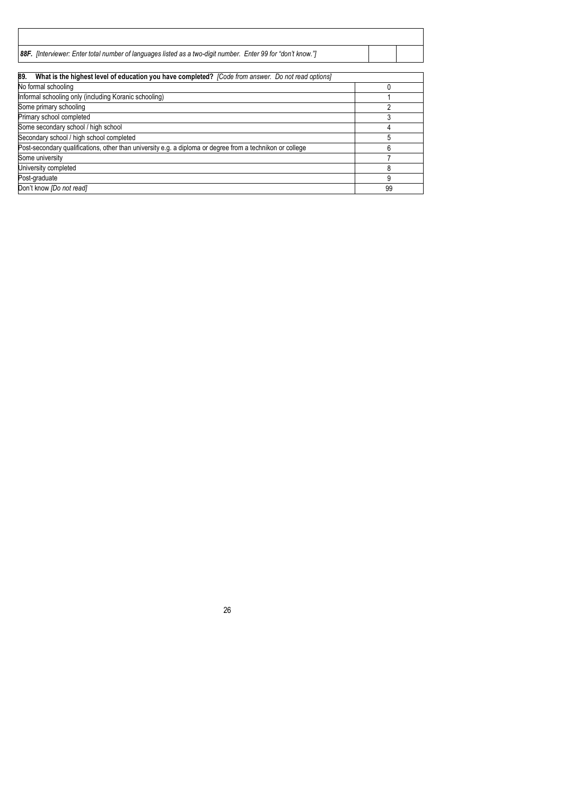| 88F. [Interviewer: Enter total number of languages listed as a two-digit number. Enter 99 for "don't know."] |  |
|--------------------------------------------------------------------------------------------------------------|--|

| 89.<br>What is the highest level of education you have completed? [Code from answer. Do not read options] |    |
|-----------------------------------------------------------------------------------------------------------|----|
| No formal schooling                                                                                       |    |
| Informal schooling only (including Koranic schooling)                                                     |    |
| Some primary schooling                                                                                    |    |
| Primary school completed                                                                                  |    |
| Some secondary school / high school                                                                       |    |
| Secondary school / high school completed                                                                  |    |
| Post-secondary qualifications, other than university e.g. a diploma or degree from a technikon or college |    |
| Some university                                                                                           |    |
| University completed                                                                                      | 8  |
| Post-graduate                                                                                             | 9  |
| Don't know [Do not read]                                                                                  | 99 |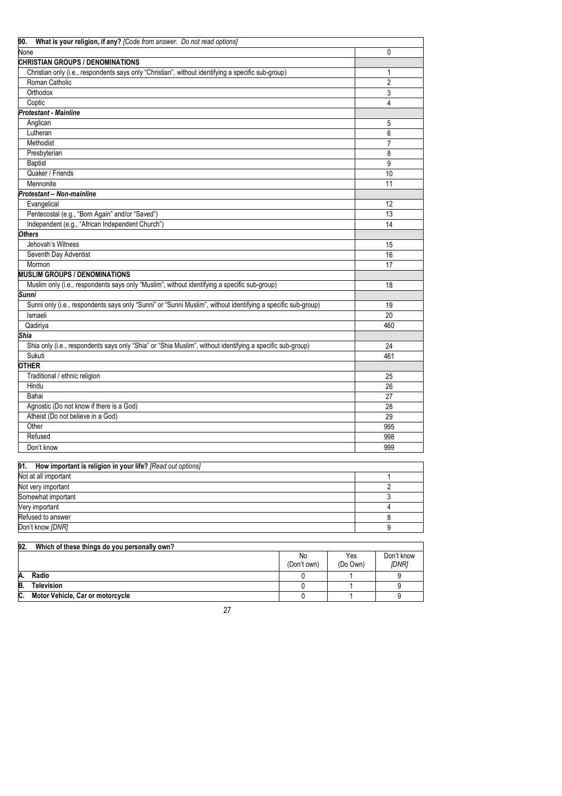| What is your religion, if any? [Code from answer. Do not read options]<br>90.                                |    |     |                |
|--------------------------------------------------------------------------------------------------------------|----|-----|----------------|
| None                                                                                                         |    |     | 0              |
| <b>CHRISTIAN GROUPS / DENOMINATIONS</b>                                                                      |    |     |                |
| Christian only (i.e., respondents says only "Christian", without identifying a specific sub-group)           |    |     | 1              |
| Roman Catholic                                                                                               |    |     | $\overline{c}$ |
| Orthodox                                                                                                     |    |     | 3              |
| Coptic                                                                                                       |    |     | $\overline{4}$ |
| <b>Protestant - Mainline</b>                                                                                 |    |     |                |
| Anglican                                                                                                     |    |     | 5              |
| Lutheran                                                                                                     |    |     | 6              |
| Methodist                                                                                                    |    |     | $\overline{7}$ |
| Presbyterian                                                                                                 |    |     | 8              |
| <b>Baptist</b>                                                                                               |    |     | 9              |
| Quaker / Friends                                                                                             |    |     | 10             |
| Mennonite                                                                                                    |    |     | 11             |
| Protestant - Non-mainline                                                                                    |    |     |                |
| Evangelical                                                                                                  |    |     | 12             |
| Pentecostal (e.g., "Born Again" and/or "Saved")                                                              |    |     | 13             |
| Independent (e.g., "African Independent Church")                                                             |    |     | 14             |
| <b>Others</b>                                                                                                |    |     |                |
| Jehovah's Witness                                                                                            |    |     | 15             |
| Seventh Day Adventist                                                                                        |    |     | 16             |
| Mormon                                                                                                       |    |     | 17             |
| <b>MUSLIM GROUPS / DENOMINATIONS</b>                                                                         |    |     |                |
| Muslim only (i.e., respondents says only "Muslim", without identifying a specific sub-group)                 |    |     | 18             |
| <b>Sunni</b>                                                                                                 |    |     |                |
| Sunni only (i.e., respondents says only "Sunni" or "Sunni Muslim", without identifying a specific sub-group) |    |     | 19             |
| Ismaeli                                                                                                      |    |     | 20             |
| Qadiriya                                                                                                     |    |     | 460            |
| Shia                                                                                                         |    |     |                |
| Shia only (i.e., respondents says only "Shia" or "Shia Muslim", without identifying a specific sub-group)    |    |     | 24             |
| Sukuti                                                                                                       |    |     | 461            |
| <b>OTHER</b>                                                                                                 |    |     |                |
| Traditional / ethnic religion                                                                                |    |     | 25             |
| Hindu                                                                                                        |    |     | 26             |
| Bahai                                                                                                        |    |     | 27             |
| Agnostic (Do not know if there is a God)                                                                     |    |     | 28             |
| Atheist (Do not believe in a God)                                                                            |    |     | 29             |
| Other                                                                                                        |    |     | 995            |
| Refused                                                                                                      |    |     | 998            |
| Don't know                                                                                                   |    |     | 999            |
|                                                                                                              |    |     |                |
| 91.<br>How important is religion in your life? [Read out options]                                            |    |     |                |
| Not at all important                                                                                         |    |     | 1              |
| Not very important                                                                                           |    |     | 2              |
| Somewhat important                                                                                           |    |     | 3              |
| Very important                                                                                               |    |     | 4              |
| Refused to answer                                                                                            |    |     | 8              |
| Don't know [DNR]                                                                                             |    |     | 9              |
|                                                                                                              |    |     |                |
| Which of these things do you personally own?<br>92.                                                          |    |     |                |
|                                                                                                              | No | Yes | Don't know     |

|     |                                  | No<br>(Don't own) | Yes<br>(Do Own) | Don't kno<br>[DNR] |
|-----|----------------------------------|-------------------|-----------------|--------------------|
| Α.  | Radio                            |                   |                 |                    |
| B.  | Television                       |                   |                 |                    |
| IC. | Motor Vehicle, Car or motorcycle |                   |                 |                    |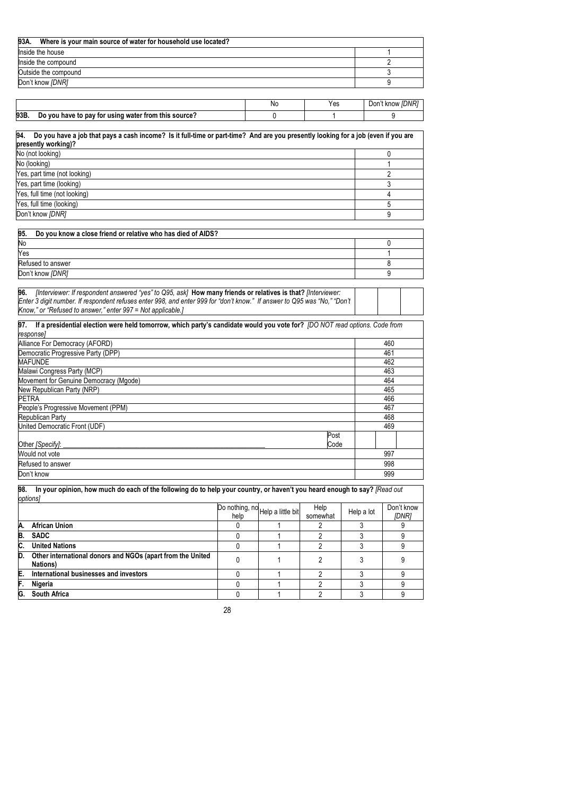| 93A.<br>Where is your main source of water for household use located? |  |
|-----------------------------------------------------------------------|--|
| Inside the house                                                      |  |
| Inside the compound                                                   |  |
| Outside the compound                                                  |  |
| Don't know [DNR]                                                      |  |

|      |                                                      | Νc | Yes | Don't know IDNR1 |
|------|------------------------------------------------------|----|-----|------------------|
| 93B. | Do you have to pay for using water from this source? |    |     |                  |

| 94.<br>Do you have a job that pays a cash income? Is it full-time or part-time? And are you presently looking for a job (even if you are |  |  |  |  |
|------------------------------------------------------------------------------------------------------------------------------------------|--|--|--|--|
| presently working)?                                                                                                                      |  |  |  |  |
| No (not looking)                                                                                                                         |  |  |  |  |
| No (looking)                                                                                                                             |  |  |  |  |
| Yes, part time (not looking)                                                                                                             |  |  |  |  |
| Yes, part time (looking)                                                                                                                 |  |  |  |  |
| Yes, full time (not looking)                                                                                                             |  |  |  |  |
| Yes, full time (looking)                                                                                                                 |  |  |  |  |
| Don't know [DNR]                                                                                                                         |  |  |  |  |

| 95.<br>Do you know a close friend or relative who has died of AIDS? |  |
|---------------------------------------------------------------------|--|
| No                                                                  |  |
| Yes                                                                 |  |
| Refused to answer                                                   |  |
| Don't know [DNR]                                                    |  |

| 96. | finterviewer: If respondent answered "yes" to Q95, ask] How many friends or relatives is that? finterviewer:              |  |
|-----|---------------------------------------------------------------------------------------------------------------------------|--|
|     | IEnter 3 digit number. If respondent refuses enter 998, and enter 999 for "don't know." If answer to Q95 was "No." "Don't |  |
|     | Know." or "Refused to answer." enter 997 = Not applicable.1                                                               |  |

|           |  |  |  | 97. If a presidential election were held tomorrow, which party's candidate would you vote for? [DO NOT read options. Code from |
|-----------|--|--|--|--------------------------------------------------------------------------------------------------------------------------------|
| response] |  |  |  |                                                                                                                                |
|           |  |  |  |                                                                                                                                |

| Alliance For Democracy (AFORD)         |      | 460 |
|----------------------------------------|------|-----|
| Democratic Progressive Party (DPP)     |      | 461 |
| <b>MAFUNDE</b>                         |      | 462 |
| Malawi Congress Party (MCP)            |      | 463 |
| Movement for Genuine Democracy (Mgode) |      | 464 |
| New Republican Party (NRP)             |      | 465 |
| <b>PETRA</b>                           |      | 466 |
| People's Progressive Movement (PPM)    |      | 467 |
| Republican Party                       |      | 468 |
| United Democratic Front (UDF)          |      | 469 |
|                                        | Post |     |
| Other [Specify]:                       | Code |     |
| Would not vote                         |      | 997 |
| Refused to answer                      |      | 998 |
| Don't know                             |      | 999 |

**98. In your opinion, how much do each of the following do to help your country, or haven't you heard enough to say?** *[Read out options]* 

|    |                                                                                | help | Do nothing, no Help a little bit | Help<br>somewhat | Help a lot | Don't know<br><b>IDNR1</b> |
|----|--------------------------------------------------------------------------------|------|----------------------------------|------------------|------------|----------------------------|
| Α. | <b>African Union</b>                                                           |      |                                  |                  |            |                            |
| B. | <b>SADC</b>                                                                    |      |                                  |                  |            |                            |
| C. | <b>United Nations</b>                                                          |      |                                  |                  |            |                            |
| D. | Other international donors and NGOs (apart from the United<br><b>Nations</b> ) |      |                                  |                  |            |                            |
| E. | International businesses and investors                                         |      |                                  |                  |            |                            |
| F. | Nigeria                                                                        |      |                                  |                  |            |                            |
| G. | <b>South Africa</b>                                                            |      |                                  |                  |            |                            |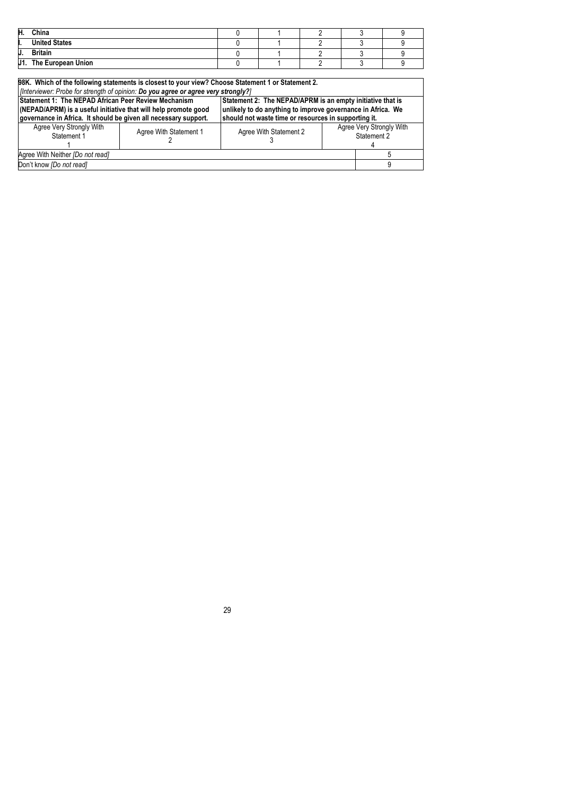| Н.   | China                |  |  |  |
|------|----------------------|--|--|--|
| п.   | <b>United States</b> |  |  |  |
| IJ.  | <b>Britain</b>       |  |  |  |
| IJ1. | The European Union   |  |  |  |

|                                                                                                                    | 98K. Which of the following statements is closest to your view? Choose Statement 1 or Statement 2. |                                                             |                          |             |  |  |  |
|--------------------------------------------------------------------------------------------------------------------|----------------------------------------------------------------------------------------------------|-------------------------------------------------------------|--------------------------|-------------|--|--|--|
| [Interviewer: Probe for strength of opinion: Do you agree or agree very strongly?]                                 |                                                                                                    |                                                             |                          |             |  |  |  |
| Statement 1: The NEPAD African Peer Review Mechanism<br>Statement 2: The NEPAD/APRM is an empty initiative that is |                                                                                                    |                                                             |                          |             |  |  |  |
| (NEPAD/APRM) is a useful initiative that will help promote good                                                    |                                                                                                    | unlikely to do anything to improve governance in Africa. We |                          |             |  |  |  |
| governance in Africa. It should be given all necessary support.                                                    |                                                                                                    | should not waste time or resources in supporting it.        |                          |             |  |  |  |
| Agree Very Strongly With                                                                                           | Agree With Statement 1                                                                             | Agree With Statement 2                                      | Agree Very Strongly With |             |  |  |  |
| Statement 1                                                                                                        |                                                                                                    |                                                             |                          | Statement 2 |  |  |  |
|                                                                                                                    |                                                                                                    |                                                             |                          |             |  |  |  |
| Agree With Neither [Do not read]                                                                                   |                                                                                                    |                                                             |                          |             |  |  |  |
| Don't know [Do not read]                                                                                           |                                                                                                    |                                                             |                          |             |  |  |  |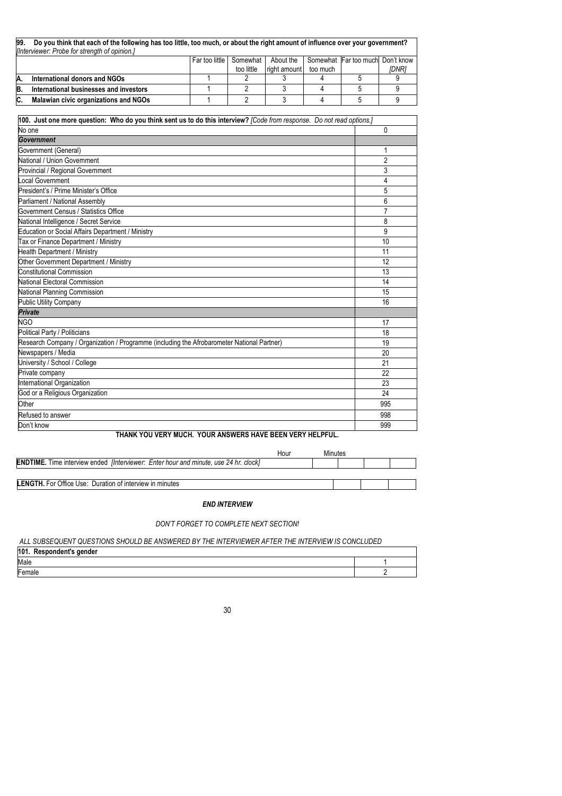| 99. | Do you think that each of the following has too little, too much, or about the right amount of influence over your government?<br>[Interviewer: Probe for strength of opinion.] |                               |            |              |          |                                   |              |  |  |
|-----|---------------------------------------------------------------------------------------------------------------------------------------------------------------------------------|-------------------------------|------------|--------------|----------|-----------------------------------|--------------|--|--|
|     |                                                                                                                                                                                 | <sup>∣</sup> Far too little I | Somewhat I | About the    |          | Somewhat Far too muchl Don't know |              |  |  |
|     |                                                                                                                                                                                 |                               | too little | right amount | too much |                                   | <i>IDNR1</i> |  |  |
| A.  | International donors and NGOs                                                                                                                                                   |                               |            |              |          |                                   |              |  |  |
| B.  | International businesses and investors                                                                                                                                          |                               |            |              |          |                                   |              |  |  |
| IC. | Malawian civic organizations and NGOs                                                                                                                                           |                               |            |              |          |                                   |              |  |  |

| No one                                                                                     | 0              |
|--------------------------------------------------------------------------------------------|----------------|
| Government                                                                                 |                |
| Government (General)                                                                       | 1              |
| National / Union Government                                                                | $\overline{2}$ |
| Provincial / Regional Government                                                           | 3              |
| Local Government                                                                           | 4              |
| President's / Prime Minister's Office                                                      | 5              |
| Parliament / National Assembly                                                             | 6              |
| Government Census / Statistics Office                                                      | 7              |
| National Intelligence / Secret Service                                                     | 8              |
| Education or Social Affairs Department / Ministry                                          | 9              |
| <b>Tax or Finance Department / Ministry</b>                                                | 10             |
| Health Department / Ministry                                                               | 11             |
| Other Government Department / Ministry                                                     | 12             |
| Constitutional Commission                                                                  | 13             |
| National Electoral Commission                                                              | 14             |
| National Planning Commission                                                               | 15             |
| <b>Public Utility Company</b>                                                              | 16             |
| <b>Private</b>                                                                             |                |
| <b>NGO</b>                                                                                 | 17             |
| Political Party / Politicians                                                              | 18             |
| Research Company / Organization / Programme (including the Afrobarometer National Partner) | 19             |
| Newspapers / Media                                                                         | 20             |
| University / School / College                                                              | 21             |
| Private company                                                                            | 22             |
| International Organization                                                                 | 23             |
| God or a Religious Organization                                                            | 24             |
| Other                                                                                      | 995            |
| Refused to answer                                                                          | 998            |
| Don't know                                                                                 | 999            |

## **THANK YOU VERY MUCH. YOUR ANSWERS HAVE BEEN VERY HELPFUL.**

|                                                                                                    | Hour | Minutes |  |  |
|----------------------------------------------------------------------------------------------------|------|---------|--|--|
| <b>ENDTIME.</b> Time interview ended <i>[Interviewer: Enter hour and minute, use 24 hr. clock]</i> |      |         |  |  |
|                                                                                                    |      |         |  |  |
| <b>LENGTH.</b> For Office Use: Duration of interview in minutes                                    |      |         |  |  |

### *END INTERVIEW*

## *DON'T FORGET TO COMPLETE NEXT SECTION!*

*ALL SUBSEQUENT QUESTIONS SHOULD BE ANSWERED BY THE INTERVIEWER AFTER THE INTERVIEW IS CONCLUDED* 

| 101. Respondent's gender |  |
|--------------------------|--|
| Male                     |  |
| Female                   |  |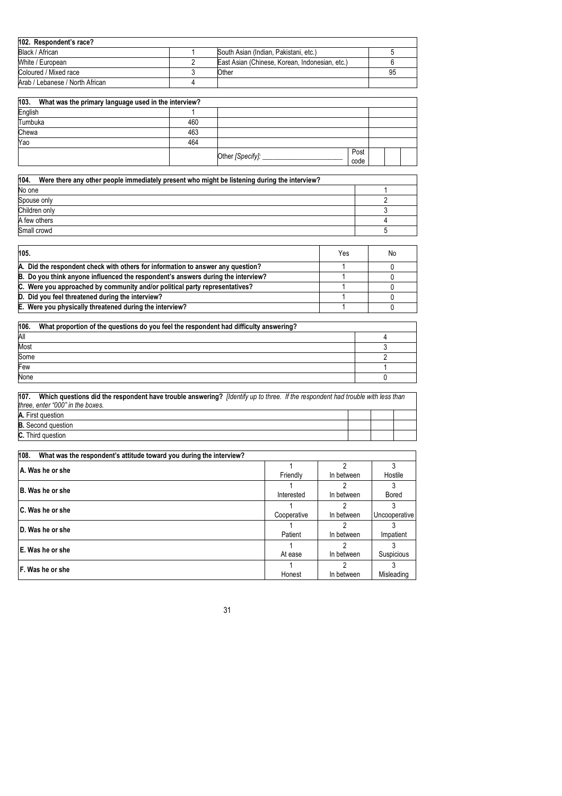| 102. Respondent's race?         |                                                |    |
|---------------------------------|------------------------------------------------|----|
| Black / African                 | South Asian (Indian, Pakistani, etc.)          |    |
| White / European                | East Asian (Chinese, Korean, Indonesian, etc.) |    |
| Coloured / Mixed race           | Other                                          | 95 |
| Arab / Lebanese / North African |                                                |    |

| 103.<br>What was the primary language used in the interview? |     |                  |              |  |  |
|--------------------------------------------------------------|-----|------------------|--------------|--|--|
| English                                                      |     |                  |              |  |  |
| Tumbuka                                                      | 460 |                  |              |  |  |
| Chewa                                                        | 463 |                  |              |  |  |
| Yao                                                          | 464 |                  |              |  |  |
|                                                              |     | Other [Specify]: | Post<br>code |  |  |

| 104.<br>Were there any other people immediately present who might be listening during the interview? |  |
|------------------------------------------------------------------------------------------------------|--|
| No one                                                                                               |  |
| Spouse only                                                                                          |  |
| Children only                                                                                        |  |
| A few others                                                                                         |  |
| Small crowd                                                                                          |  |

| 105.                                                                             | Yes | No |
|----------------------------------------------------------------------------------|-----|----|
| A. Did the respondent check with others for information to answer any question?  |     |    |
| B. Do you think anyone influenced the respondent's answers during the interview? |     |    |
| C. Were you approached by community and/or political party representatives?      |     |    |
| D. Did you feel threatened during the interview?                                 |     |    |
| E. Were you physically threatened during the interview?                          |     |    |

| 106. | What proportion of the questions do you feel the respondent had difficulty answering? |  |
|------|---------------------------------------------------------------------------------------|--|
| All  |                                                                                       |  |
| Most |                                                                                       |  |
| Some |                                                                                       |  |
| Few  |                                                                                       |  |
| None |                                                                                       |  |

| 107.<br>Which questions did the respondent have trouble answering? <i>[Identify up to three.</i> If the respondent had trouble with less than |  |  |
|-----------------------------------------------------------------------------------------------------------------------------------------------|--|--|
| three, enter "000" in the boxes.                                                                                                              |  |  |
| A. First question                                                                                                                             |  |  |
| <b>B.</b> Second question                                                                                                                     |  |  |
| <b>C.</b> Third question                                                                                                                      |  |  |

| 108.<br>What was the respondent's attitude toward you during the interview? |             |            |               |
|-----------------------------------------------------------------------------|-------------|------------|---------------|
| A. Was he or she                                                            |             |            |               |
|                                                                             | Friendly    | In between | Hostile       |
| B. Was he or she                                                            |             |            |               |
|                                                                             | Interested  | In between | <b>Bored</b>  |
| C. Was he or she                                                            |             |            |               |
|                                                                             | Cooperative | In between | Uncooperative |
| D. Was he or she                                                            |             |            |               |
|                                                                             | Patient     | In between | Impatient     |
| E. Was he or she                                                            |             |            |               |
|                                                                             | At ease     | In between | Suspicious    |
| F. Was he or she                                                            |             |            |               |
|                                                                             | Honest      | In between | Misleading    |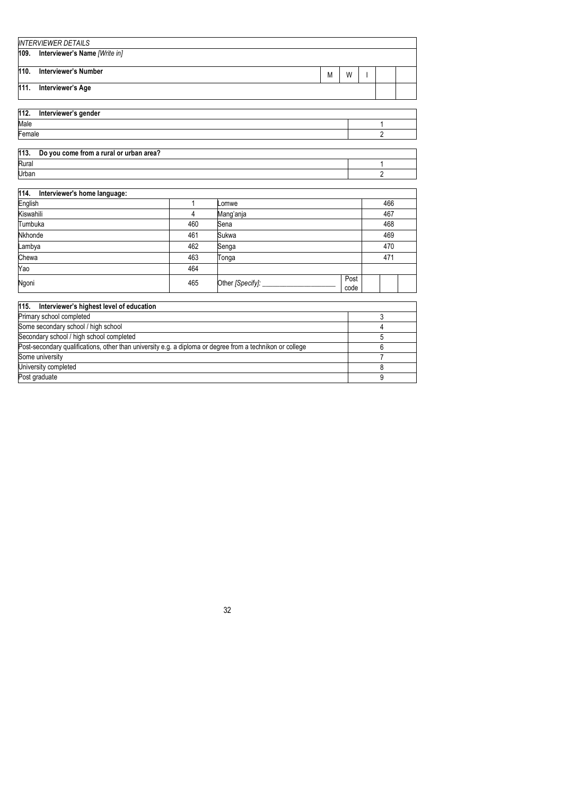|      | <b>INTERVIEWER DETAILS</b>    |   |   |  |  |
|------|-------------------------------|---|---|--|--|
| 109. | Interviewer's Name [Write in] |   |   |  |  |
| 110. | Interviewer's Number          | M | W |  |  |
| 111. | Interviewer's Age             |   |   |  |  |

|        | 112. Interviewer's gender                    |  |
|--------|----------------------------------------------|--|
| Male   |                                              |  |
| Female |                                              |  |
|        |                                              |  |
|        | 113. Do you come from a rural or urban area? |  |
| Rural  |                                              |  |
| Urban  |                                              |  |

| 114.<br>Interviewer's home language: |     |                           |      |     |
|--------------------------------------|-----|---------------------------|------|-----|
| English                              |     | Lomwe                     |      | 466 |
| Kiswahili                            | 4   | Mang'anja                 |      | 467 |
| Tumbuka                              | 460 | Sena                      |      | 468 |
| Nkhonde                              | 461 | Sukwa                     |      | 469 |
| Lambya                               | 462 | Senga                     |      | 470 |
| Chewa                                | 463 | Tonga                     |      | 471 |
| Yao                                  | 464 |                           |      |     |
| Ngoni                                | 465 | Post<br>Other [Specify] _ |      |     |
|                                      |     |                           | code |     |

| 115. Interviewer's highest level of education                                                             |  |
|-----------------------------------------------------------------------------------------------------------|--|
| Primary school completed                                                                                  |  |
| Some secondary school / high school                                                                       |  |
| Secondary school / high school completed                                                                  |  |
| Post-secondary qualifications, other than university e.g. a diploma or degree from a technikon or college |  |
| Some university                                                                                           |  |
| University completed                                                                                      |  |
| Post graduate                                                                                             |  |